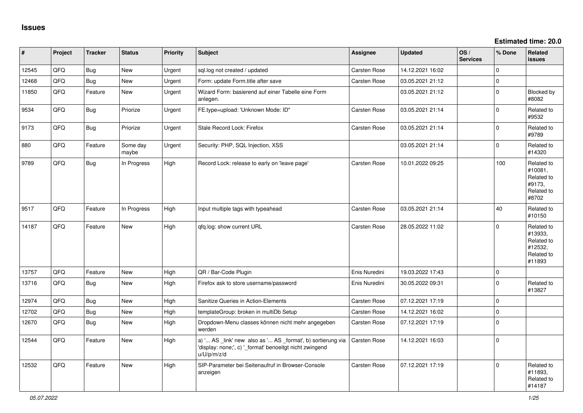| #     | Project | <b>Tracker</b> | <b>Status</b>     | <b>Priority</b> | <b>Subject</b>                                                                                                                        | Assignee            | <b>Updated</b>   | OS/<br><b>Services</b> | % Done       | Related<br><b>issues</b>                                               |
|-------|---------|----------------|-------------------|-----------------|---------------------------------------------------------------------------------------------------------------------------------------|---------------------|------------------|------------------------|--------------|------------------------------------------------------------------------|
| 12545 | QFQ     | Bug            | New               | Urgent          | sql.log not created / updated                                                                                                         | Carsten Rose        | 14.12.2021 16:02 |                        | $\mathbf 0$  |                                                                        |
| 12468 | QFQ     | <b>Bug</b>     | <b>New</b>        | Urgent          | Form: update Form.title after save                                                                                                    | <b>Carsten Rose</b> | 03.05.2021 21:12 |                        | $\mathbf 0$  |                                                                        |
| 11850 | QFQ     | Feature        | New               | Urgent          | Wizard Form: basierend auf einer Tabelle eine Form<br>anlegen.                                                                        |                     | 03.05.2021 21:12 |                        | $\mathbf 0$  | Blocked by<br>#8082                                                    |
| 9534  | QFQ     | <b>Bug</b>     | Priorize          | Urgent          | FE.type=upload: 'Unknown Mode: ID"                                                                                                    | <b>Carsten Rose</b> | 03.05.2021 21:14 |                        | $\mathbf 0$  | Related to<br>#9532                                                    |
| 9173  | QFQ     | <b>Bug</b>     | Priorize          | Urgent          | Stale Record Lock: Firefox                                                                                                            | Carsten Rose        | 03.05.2021 21:14 |                        | $\mathbf 0$  | Related to<br>#9789                                                    |
| 880   | QFQ     | Feature        | Some day<br>maybe | Urgent          | Security: PHP, SQL Injection, XSS                                                                                                     |                     | 03.05.2021 21:14 |                        | $\Omega$     | Related to<br>#14320                                                   |
| 9789  | QFQ     | <b>Bug</b>     | In Progress       | High            | Record Lock: release to early on 'leave page'                                                                                         | <b>Carsten Rose</b> | 10.01.2022 09:25 |                        | 100          | Related to<br>#10081,<br>Related to<br>#9173,<br>Related to<br>#8702   |
| 9517  | QFQ     | Feature        | In Progress       | High            | Input multiple tags with typeahead                                                                                                    | <b>Carsten Rose</b> | 03.05.2021 21:14 |                        | 40           | Related to<br>#10150                                                   |
| 14187 | QFQ     | Feature        | <b>New</b>        | High            | qfq.log: show current URL                                                                                                             | <b>Carsten Rose</b> | 28.05.2022 11:02 |                        | $\Omega$     | Related to<br>#13933,<br>Related to<br>#12532,<br>Related to<br>#11893 |
| 13757 | QFQ     | Feature        | <b>New</b>        | High            | QR / Bar-Code Plugin                                                                                                                  | Enis Nuredini       | 19.03.2022 17:43 |                        | $\mathbf{0}$ |                                                                        |
| 13716 | QFQ     | <b>Bug</b>     | New               | High            | Firefox ask to store username/password                                                                                                | Enis Nuredini       | 30.05.2022 09:31 |                        | $\mathbf 0$  | Related to<br>#13827                                                   |
| 12974 | QFQ     | <b>Bug</b>     | <b>New</b>        | High            | Sanitize Queries in Action-Elements                                                                                                   | Carsten Rose        | 07.12.2021 17:19 |                        | $\mathbf 0$  |                                                                        |
| 12702 | QFQ     | <b>Bug</b>     | <b>New</b>        | High            | templateGroup: broken in multiDb Setup                                                                                                | Carsten Rose        | 14.12.2021 16:02 |                        | $\mathsf 0$  |                                                                        |
| 12670 | QFQ     | <b>Bug</b>     | <b>New</b>        | High            | Dropdown-Menu classes können nicht mehr angegeben<br>werden                                                                           | Carsten Rose        | 07.12.2021 17:19 |                        | $\mathbf 0$  |                                                                        |
| 12544 | QFQ     | Feature        | <b>New</b>        | High            | a) ' AS _link' new also as ' AS _format', b) sortierung via<br>'display: none;', c) '_format' benoeitgt nicht zwingend<br>u/U/p/m/z/d | Carsten Rose        | 14.12.2021 16:03 |                        | $\mathbf 0$  |                                                                        |
| 12532 | QFQ     | Feature        | <b>New</b>        | High            | SIP-Parameter bei Seitenaufruf in Browser-Console<br>anzeigen                                                                         | <b>Carsten Rose</b> | 07.12.2021 17:19 |                        | $\mathbf 0$  | Related to<br>#11893,<br>Related to<br>#14187                          |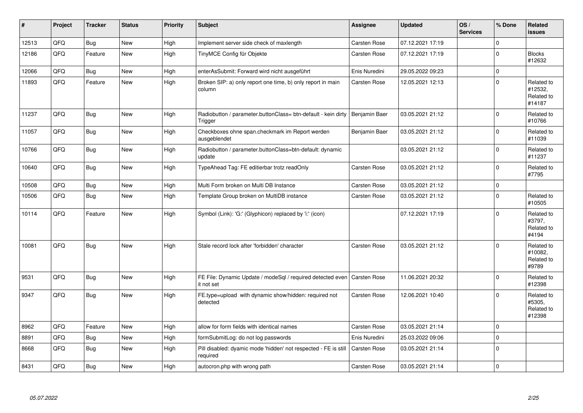| $\vert$ # | Project | <b>Tracker</b> | <b>Status</b> | <b>Priority</b> | <b>Subject</b>                                                              | <b>Assignee</b>     | <b>Updated</b>   | OS/<br><b>Services</b> | % Done      | <b>Related</b><br>issues                      |
|-----------|---------|----------------|---------------|-----------------|-----------------------------------------------------------------------------|---------------------|------------------|------------------------|-------------|-----------------------------------------------|
| 12513     | QFQ     | <b>Bug</b>     | <b>New</b>    | High            | Implement server side check of maxlength                                    | Carsten Rose        | 07.12.2021 17:19 |                        | $\Omega$    |                                               |
| 12186     | QFQ     | Feature        | <b>New</b>    | High            | TinyMCE Config für Objekte                                                  | Carsten Rose        | 07.12.2021 17:19 |                        | $\mathbf 0$ | <b>Blocks</b><br>#12632                       |
| 12066     | QFQ     | Bug            | <b>New</b>    | High            | enterAsSubmit: Forward wird nicht ausgeführt                                | Enis Nuredini       | 29.05.2022 09:23 |                        | $\Omega$    |                                               |
| 11893     | QFQ     | Feature        | New           | High            | Broken SIP: a) only report one time, b) only report in main<br>column       | Carsten Rose        | 12.05.2021 12:13 |                        | $\Omega$    | Related to<br>#12532,<br>Related to<br>#14187 |
| 11237     | QFQ     | Bug            | <b>New</b>    | High            | Radiobutton / parameter.buttonClass= btn-default - kein dirty<br>Trigger    | Benjamin Baer       | 03.05.2021 21:12 |                        | $\mathbf 0$ | Related to<br>#10766                          |
| 11057     | QFQ     | Bug            | <b>New</b>    | High            | Checkboxes ohne span.checkmark im Report werden<br>ausgeblendet             | Benjamin Baer       | 03.05.2021 21:12 |                        | $\mathbf 0$ | Related to<br>#11039                          |
| 10766     | QFQ     | Bug            | New           | High            | Radiobutton / parameter.buttonClass=btn-default: dynamic<br>update          |                     | 03.05.2021 21:12 |                        | $\mathbf 0$ | Related to<br>#11237                          |
| 10640     | QFQ     | <b>Bug</b>     | <b>New</b>    | High            | TypeAhead Tag: FE editierbar trotz readOnly                                 | Carsten Rose        | 03.05.2021 21:12 |                        | $\mathbf 0$ | Related to<br>#7795                           |
| 10508     | QFQ     | Bug            | <b>New</b>    | High            | Multi Form broken on Multi DB Instance                                      | Carsten Rose        | 03.05.2021 21:12 |                        | $\mathbf 0$ |                                               |
| 10506     | QFQ     | Bug            | <b>New</b>    | High            | Template Group broken on MultiDB instance                                   | Carsten Rose        | 03.05.2021 21:12 |                        | $\mathbf 0$ | Related to<br>#10505                          |
| 10114     | QFQ     | Feature        | <b>New</b>    | High            | Symbol (Link): 'G:' (Glyphicon) replaced by 'i:' (icon)                     |                     | 07.12.2021 17:19 |                        | $\mathbf 0$ | Related to<br>#3797,<br>Related to<br>#4194   |
| 10081     | QFQ     | <b>Bug</b>     | <b>New</b>    | High            | Stale record lock after 'forbidden' character                               | <b>Carsten Rose</b> | 03.05.2021 21:12 |                        | $\Omega$    | Related to<br>#10082.<br>Related to<br>#9789  |
| 9531      | QFQ     | Bug            | <b>New</b>    | High            | FE File: Dynamic Update / modeSql / required detected even<br>it not set    | Carsten Rose        | 11.06.2021 20:32 |                        | $\Omega$    | Related to<br>#12398                          |
| 9347      | QFQ     | Bug            | <b>New</b>    | High            | FE.type=upload with dynamic show/hidden: required not<br>detected           | Carsten Rose        | 12.06.2021 10:40 |                        | $\mathbf 0$ | Related to<br>#5305,<br>Related to<br>#12398  |
| 8962      | QFQ     | Feature        | <b>New</b>    | High            | allow for form fields with identical names                                  | Carsten Rose        | 03.05.2021 21:14 |                        | $\mathbf 0$ |                                               |
| 8891      | QFQ     | <b>Bug</b>     | <b>New</b>    | High            | formSubmitLog: do not log passwords                                         | Enis Nuredini       | 25.03.2022 09:06 |                        | $\mathbf 0$ |                                               |
| 8668      | QFQ     | Bug            | New           | High            | Pill disabled: dyamic mode 'hidden' not respected - FE is still<br>required | Carsten Rose        | 03.05.2021 21:14 |                        | $\mathbf 0$ |                                               |
| 8431      | QFQ     | <b>Bug</b>     | <b>New</b>    | High            | autocron.php with wrong path                                                | Carsten Rose        | 03.05.2021 21:14 |                        | $\pmb{0}$   |                                               |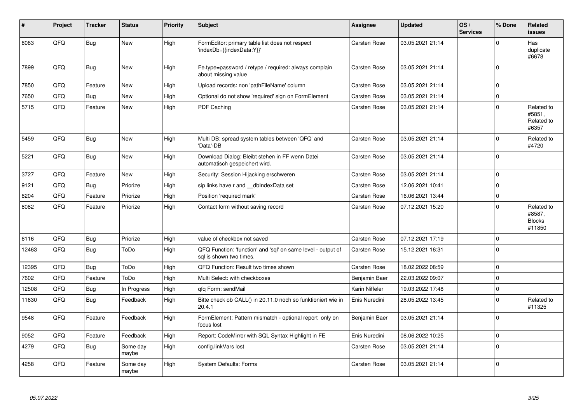| #     | Project | <b>Tracker</b> | <b>Status</b>     | <b>Priority</b> | <b>Subject</b>                                                                          | <b>Assignee</b>     | <b>Updated</b>   | OS/<br><b>Services</b> | % Done      | Related<br><b>issues</b>                        |
|-------|---------|----------------|-------------------|-----------------|-----------------------------------------------------------------------------------------|---------------------|------------------|------------------------|-------------|-------------------------------------------------|
| 8083  | QFQ     | <b>Bug</b>     | <b>New</b>        | High            | FormEditor: primary table list does not respect<br>'indexDb={{indexData:Y}}'            | Carsten Rose        | 03.05.2021 21:14 |                        | $\mathbf 0$ | Has<br>duplicate<br>#6678                       |
| 7899  | QFQ     | <b>Bug</b>     | <b>New</b>        | High            | Fe.type=password / retype / required: always complain<br>about missing value            | Carsten Rose        | 03.05.2021 21:14 |                        | $\Omega$    |                                                 |
| 7850  | QFQ     | Feature        | <b>New</b>        | High            | Upload records: non 'pathFileName' column                                               | <b>Carsten Rose</b> | 03.05.2021 21:14 |                        | $\mathbf 0$ |                                                 |
| 7650  | QFQ     | <b>Bug</b>     | <b>New</b>        | High            | Optional do not show 'required' sign on FormElement                                     | Carsten Rose        | 03.05.2021 21:14 |                        | $\Omega$    |                                                 |
| 5715  | QFQ     | Feature        | New               | High            | PDF Caching                                                                             | <b>Carsten Rose</b> | 03.05.2021 21:14 |                        | $\mathbf 0$ | Related to<br>#5851,<br>Related to<br>#6357     |
| 5459  | QFQ     | Bug            | <b>New</b>        | High            | Multi DB: spread system tables between 'QFQ' and<br>'Data'-DB                           | <b>Carsten Rose</b> | 03.05.2021 21:14 |                        | $\mathbf 0$ | Related to<br>#4720                             |
| 5221  | QFQ     | <b>Bug</b>     | <b>New</b>        | High            | Download Dialog: Bleibt stehen in FF wenn Datei<br>automatisch gespeichert wird.        | Carsten Rose        | 03.05.2021 21:14 |                        | $\mathbf 0$ |                                                 |
| 3727  | QFQ     | Feature        | <b>New</b>        | High            | Security: Session Hijacking erschweren                                                  | Carsten Rose        | 03.05.2021 21:14 |                        | $\pmb{0}$   |                                                 |
| 9121  | QFQ     | Bug            | Priorize          | High            | sip links have r and dblndexData set                                                    | <b>Carsten Rose</b> | 12.06.2021 10:41 |                        | $\mathbf 0$ |                                                 |
| 8204  | QFQ     | Feature        | Priorize          | High            | Position 'required mark'                                                                | Carsten Rose        | 16.06.2021 13:44 |                        | $\pmb{0}$   |                                                 |
| 8082  | QFQ     | Feature        | Priorize          | High            | Contact form without saving record                                                      | <b>Carsten Rose</b> | 07.12.2021 15:20 |                        | $\mathbf 0$ | Related to<br>#8587,<br><b>Blocks</b><br>#11850 |
| 6116  | QFQ     | Bug            | Priorize          | High            | value of checkbox not saved                                                             | <b>Carsten Rose</b> | 07.12.2021 17:19 |                        | $\mathbf 0$ |                                                 |
| 12463 | QFQ     | <b>Bug</b>     | ToDo              | High            | QFQ Function: 'function' and 'sql' on same level - output of<br>sal is shown two times. | Carsten Rose        | 15.12.2021 16:31 |                        | $\Omega$    |                                                 |
| 12395 | QFQ     | <b>Bug</b>     | ToDo              | High            | QFQ Function: Result two times shown                                                    | <b>Carsten Rose</b> | 18.02.2022 08:59 |                        | $\mathbf 0$ |                                                 |
| 7602  | QFQ     | Feature        | ToDo              | High            | Multi Select: with checkboxes                                                           | Benjamin Baer       | 22.03.2022 09:07 |                        | $\mathbf 0$ |                                                 |
| 12508 | QFQ     | <b>Bug</b>     | In Progress       | High            | gfg Form: sendMail                                                                      | Karin Niffeler      | 19.03.2022 17:48 |                        | $\mathbf 0$ |                                                 |
| 11630 | QFQ     | <b>Bug</b>     | Feedback          | High            | Bitte check ob CALL() in 20.11.0 noch so funktioniert wie in<br>20.4.1                  | Enis Nuredini       | 28.05.2022 13:45 |                        | $\mathbf 0$ | Related to<br>#11325                            |
| 9548  | QFQ     | Feature        | Feedback          | High            | FormElement: Pattern mismatch - optional report only on<br>focus lost                   | Benjamin Baer       | 03.05.2021 21:14 |                        | $\mathbf 0$ |                                                 |
| 9052  | QFQ     | Feature        | Feedback          | High            | Report: CodeMirror with SQL Syntax Highlight in FE                                      | Enis Nuredini       | 08.06.2022 10:25 |                        | $\Omega$    |                                                 |
| 4279  | QFQ     | <b>Bug</b>     | Some day<br>maybe | High            | config.linkVars lost                                                                    | <b>Carsten Rose</b> | 03.05.2021 21:14 |                        | $\mathbf 0$ |                                                 |
| 4258  | QFQ     | Feature        | Some day<br>maybe | High            | <b>System Defaults: Forms</b>                                                           | <b>Carsten Rose</b> | 03.05.2021 21:14 |                        | $\Omega$    |                                                 |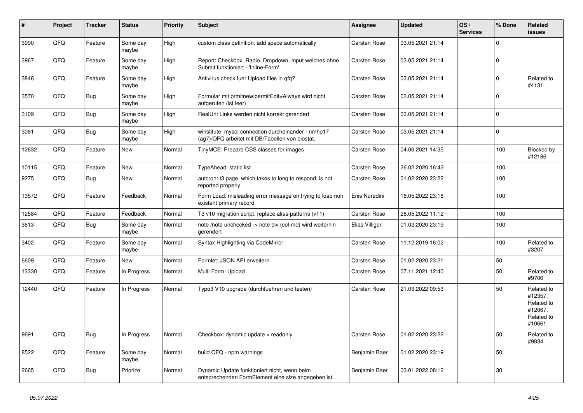| $\vert$ # | Project | <b>Tracker</b> | <b>Status</b>     | <b>Priority</b> | <b>Subject</b>                                                                                         | <b>Assignee</b>     | <b>Updated</b>   | OS/<br><b>Services</b> | % Done   | Related<br>issues                                                      |
|-----------|---------|----------------|-------------------|-----------------|--------------------------------------------------------------------------------------------------------|---------------------|------------------|------------------------|----------|------------------------------------------------------------------------|
| 3990      | QFQ     | Feature        | Some day<br>maybe | High            | custom class definition: add space automatically                                                       | Carsten Rose        | 03.05.2021 21:14 |                        | $\Omega$ |                                                                        |
| 3967      | QFQ     | Feature        | Some dav<br>maybe | High            | Report: Checkbox, Radio, Dropdown, Input welches ohne<br>Submit funktioniert - 'Inline-Form'           | Carsten Rose        | 03.05.2021 21:14 |                        | $\Omega$ |                                                                        |
| 3848      | QFQ     | Feature        | Some day<br>maybe | High            | Antivirus check fuer Upload files in qfq?                                                              | Carsten Rose        | 03.05.2021 21:14 |                        | $\Omega$ | Related to<br>#4131                                                    |
| 3570      | QFQ     | <b>Bug</b>     | Some day<br>maybe | High            | Formular mit prmitnew permitEdit=Always wird nicht<br>aufgerufen (ist leer)                            | Carsten Rose        | 03.05.2021 21:14 |                        | $\Omega$ |                                                                        |
| 3109      | QFQ     | <b>Bug</b>     | Some day<br>maybe | High            | RealUrl: Links werden nicht korrekt gerendert                                                          | Carsten Rose        | 03.05.2021 21:14 |                        | $\Omega$ |                                                                        |
| 3061      | QFQ     | <b>Bug</b>     | Some day<br>maybe | High            | winstitute: mysql connection durcheinander - nmhp17<br>(ag7)/QFQ arbeitet mit DB/Tabellen von biostat. | Carsten Rose        | 03.05.2021 21:14 |                        | $\Omega$ |                                                                        |
| 12632     | QFQ     | Feature        | New               | Normal          | TinyMCE: Prepare CSS classes for images                                                                | Carsten Rose        | 04.06.2021 14:35 |                        | 100      | Blocked by<br>#12186                                                   |
| 10115     | QFQ     | Feature        | New               | Normal          | TypeAhead: static list                                                                                 | Carsten Rose        | 26.02.2020 16:42 |                        | 100      |                                                                        |
| 9275      | QFQ     | <b>Bug</b>     | New               | Normal          | autcron: t3 page, which takes to long to respond, is not<br>reported properly                          | Carsten Rose        | 01.02.2020 23:22 |                        | 100      |                                                                        |
| 13572     | QFQ     | Feature        | Feedback          | Normal          | Form Load: misleading error message on trying to load non<br>existent primary record                   | Enis Nuredini       | 16.05.2022 23:16 |                        | 100      |                                                                        |
| 12584     | QFQ     | Feature        | Feedback          | Normal          | T3 v10 migration script: replace alias-patterns (v11)                                                  | Carsten Rose        | 28.05.2022 11:12 |                        | 100      |                                                                        |
| 3613      | QFQ     | <b>Bug</b>     | Some day<br>maybe | Normal          | note /note unchecked -> note div (col-md) wird weiterhin<br>gerendert                                  | Elias Villiger      | 01.02.2020 23:19 |                        | 100      |                                                                        |
| 3402      | QFQ     | Feature        | Some day<br>maybe | Normal          | Syntax Highlighting via CodeMirror                                                                     | Carsten Rose        | 11.12.2019 16:02 |                        | 100      | Related to<br>#3207                                                    |
| 6609      | QFQ     | Feature        | <b>New</b>        | Normal          | Formlet: JSON API erweitern                                                                            | <b>Carsten Rose</b> | 01.02.2020 23:21 |                        | 50       |                                                                        |
| 13330     | QFQ     | Feature        | In Progress       | Normal          | Multi Form: Upload                                                                                     | Carsten Rose        | 07.11.2021 12:40 |                        | 50       | Related to<br>#9706                                                    |
| 12440     | QFQ     | Feature        | In Progress       | Normal          | Typo3 V10 upgrade (durchfuehren und testen)                                                            | Carsten Rose        | 21.03.2022 09:53 |                        | 50       | Related to<br>#12357,<br>Related to<br>#12067,<br>Related to<br>#10661 |
| 9691      | QFQ     | Bug            | In Progress       | Normal          | Checkbox: dynamic update > readonly                                                                    | Carsten Rose        | 01.02.2020 23:22 |                        | 50       | Related to<br>#9834                                                    |
| 8522      | QFQ     | Feature        | Some day<br>maybe | Normal          | build QFQ - npm warnings                                                                               | Benjamin Baer       | 01.02.2020 23:19 |                        | 50       |                                                                        |
| 2665      | QFQ     | Bug            | Priorize          | Normal          | Dynamic Update funktioniert nicht, wenn beim<br>entsprechenden FormElement eine size angegeben ist.    | Benjamin Baer       | 03.01.2022 08:12 |                        | 30       |                                                                        |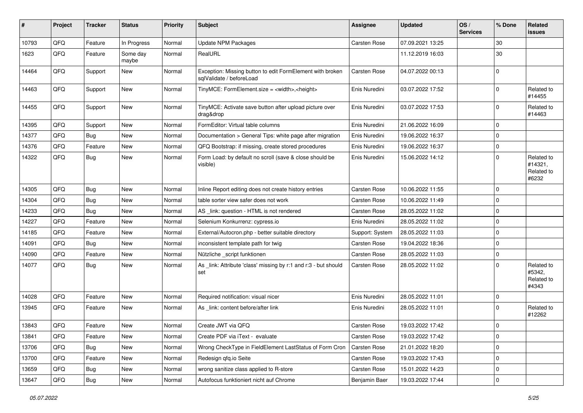| #     | Project | <b>Tracker</b> | <b>Status</b>     | <b>Priority</b> | <b>Subject</b>                                                                        | Assignee        | <b>Updated</b>   | OS/<br><b>Services</b> | % Done      | Related<br><b>issues</b>                     |
|-------|---------|----------------|-------------------|-----------------|---------------------------------------------------------------------------------------|-----------------|------------------|------------------------|-------------|----------------------------------------------|
| 10793 | QFQ     | Feature        | In Progress       | Normal          | <b>Update NPM Packages</b>                                                            | Carsten Rose    | 07.09.2021 13:25 |                        | 30          |                                              |
| 1623  | QFQ     | Feature        | Some day<br>maybe | Normal          | RealURL                                                                               |                 | 11.12.2019 16:03 |                        | 30          |                                              |
| 14464 | QFQ     | Support        | New               | Normal          | Exception: Missing button to edit FormElement with broken<br>sqlValidate / beforeLoad | Carsten Rose    | 04.07.2022 00:13 |                        | $\mathbf 0$ |                                              |
| 14463 | QFQ     | Support        | New               | Normal          | TinyMCE: FormElement.size = <width>,<height></height></width>                         | Enis Nuredini   | 03.07.2022 17:52 |                        | $\mathbf 0$ | Related to<br>#14455                         |
| 14455 | QFQ     | Support        | New               | Normal          | TinyMCE: Activate save button after upload picture over<br>drag&drop                  | Enis Nuredini   | 03.07.2022 17:53 |                        | $\Omega$    | Related to<br>#14463                         |
| 14395 | QFQ     | Support        | New               | Normal          | FormEditor: Virtual table columns                                                     | Enis Nuredini   | 21.06.2022 16:09 |                        | $\mathbf 0$ |                                              |
| 14377 | QFQ     | Bug            | New               | Normal          | Documentation > General Tips: white page after migration                              | Enis Nuredini   | 19.06.2022 16:37 |                        | $\Omega$    |                                              |
| 14376 | QFQ     | Feature        | New               | Normal          | QFQ Bootstrap: if missing, create stored procedures                                   | Enis Nuredini   | 19.06.2022 16:37 |                        | $\mathbf 0$ |                                              |
| 14322 | QFQ     | Bug            | New               | Normal          | Form Load: by default no scroll (save & close should be<br>visible)                   | Enis Nuredini   | 15.06.2022 14:12 |                        | $\Omega$    | Related to<br>#14321,<br>Related to<br>#6232 |
| 14305 | QFQ     | <b>Bug</b>     | <b>New</b>        | Normal          | Inline Report editing does not create history entries                                 | Carsten Rose    | 10.06.2022 11:55 |                        | $\mathbf 0$ |                                              |
| 14304 | QFQ     | <b>Bug</b>     | New               | Normal          | table sorter view safer does not work                                                 | Carsten Rose    | 10.06.2022 11:49 |                        | 0           |                                              |
| 14233 | QFQ     | Bug            | New               | Normal          | AS _link: question - HTML is not rendered                                             | Carsten Rose    | 28.05.2022 11:02 |                        | $\mathbf 0$ |                                              |
| 14227 | QFQ     | Feature        | <b>New</b>        | Normal          | Selenium Konkurrenz: cypress.io                                                       | Enis Nuredini   | 28.05.2022 11:02 |                        | $\Omega$    |                                              |
| 14185 | QFQ     | Feature        | New               | Normal          | External/Autocron.php - better suitable directory                                     | Support: System | 28.05.2022 11:03 |                        | 0           |                                              |
| 14091 | QFQ     | Bug            | <b>New</b>        | Normal          | inconsistent template path for twig                                                   | Carsten Rose    | 19.04.2022 18:36 |                        | $\mathbf 0$ |                                              |
| 14090 | QFQ     | Feature        | New               | Normal          | Nützliche _script funktionen                                                          | Carsten Rose    | 28.05.2022 11:03 |                        | $\pmb{0}$   |                                              |
| 14077 | QFQ     | Bug            | New               | Normal          | As _link: Attribute 'class' missing by r:1 and r:3 - but should<br>set                | Carsten Rose    | 28.05.2022 11:02 |                        | $\Omega$    | Related to<br>#5342,<br>Related to<br>#4343  |
| 14028 | QFQ     | Feature        | New               | Normal          | Required notification: visual nicer                                                   | Enis Nuredini   | 28.05.2022 11:01 |                        | $\mathbf 0$ |                                              |
| 13945 | QFQ     | Feature        | New               | Normal          | As _link: content before/after link                                                   | Enis Nuredini   | 28.05.2022 11:01 |                        | $\Omega$    | Related to<br>#12262                         |
| 13843 | QFQ     | Feature        | New               | Normal          | Create JWT via QFQ                                                                    | Carsten Rose    | 19.03.2022 17:42 |                        | $\mathbf 0$ |                                              |
| 13841 | QFQ     | Feature        | New               | Normal          | Create PDF via iText - evaluate                                                       | Carsten Rose    | 19.03.2022 17:42 |                        | $\mathbf 0$ |                                              |
| 13706 | QFQ     | Bug            | New               | Normal          | Wrong CheckType in FieldElement LastStatus of Form Cron                               | Carsten Rose    | 21.01.2022 18:20 |                        | $\mathbf 0$ |                                              |
| 13700 | QFQ     | Feature        | New               | Normal          | Redesign qfq.io Seite                                                                 | Carsten Rose    | 19.03.2022 17:43 |                        | 0           |                                              |
| 13659 | QFQ     | <b>Bug</b>     | New               | Normal          | wrong sanitize class applied to R-store                                               | Carsten Rose    | 15.01.2022 14:23 |                        | $\pmb{0}$   |                                              |
| 13647 | QFQ     | Bug            | New               | Normal          | Autofocus funktioniert nicht auf Chrome                                               | Benjamin Baer   | 19.03.2022 17:44 |                        | $\mathbf 0$ |                                              |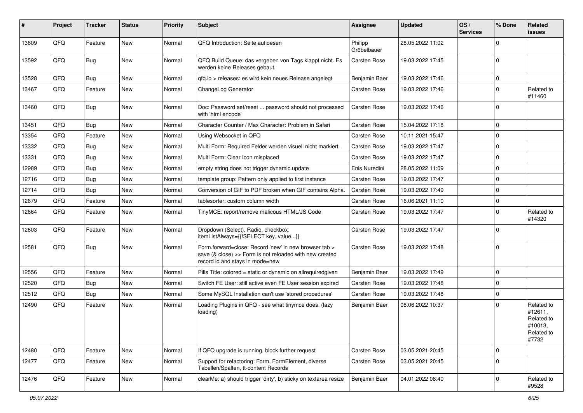| #     | Project | <b>Tracker</b> | <b>Status</b> | <b>Priority</b> | Subject                                                                                                                                             | Assignee               | <b>Updated</b>   | OS/<br><b>Services</b> | % Done      | Related<br><b>issues</b>                                              |
|-------|---------|----------------|---------------|-----------------|-----------------------------------------------------------------------------------------------------------------------------------------------------|------------------------|------------------|------------------------|-------------|-----------------------------------------------------------------------|
| 13609 | QFQ     | Feature        | <b>New</b>    | Normal          | QFQ Introduction: Seite aufloesen                                                                                                                   | Philipp<br>Gröbelbauer | 28.05.2022 11:02 |                        | $\Omega$    |                                                                       |
| 13592 | QFQ     | <b>Bug</b>     | New           | Normal          | QFQ Build Queue: das vergeben von Tags klappt nicht. Es<br>werden keine Releases gebaut.                                                            | Carsten Rose           | 19.03.2022 17:45 |                        | $\mathbf 0$ |                                                                       |
| 13528 | QFQ     | <b>Bug</b>     | New           | Normal          | qfq.io > releases: es wird kein neues Release angelegt                                                                                              | Benjamin Baer          | 19.03.2022 17:46 |                        | $\mathbf 0$ |                                                                       |
| 13467 | QFQ     | Feature        | New           | Normal          | ChangeLog Generator                                                                                                                                 | <b>Carsten Rose</b>    | 19.03.2022 17:46 |                        | $\mathbf 0$ | Related to<br>#11460                                                  |
| 13460 | QFQ     | Bug            | New           | Normal          | Doc: Password set/reset  password should not processed<br>with 'html encode'                                                                        | Carsten Rose           | 19.03.2022 17:46 |                        | $\Omega$    |                                                                       |
| 13451 | QFQ     | Bug            | <b>New</b>    | Normal          | Character Counter / Max Character: Problem in Safari                                                                                                | Carsten Rose           | 15.04.2022 17:18 |                        | $\mathbf 0$ |                                                                       |
| 13354 | QFQ     | Feature        | New           | Normal          | Using Websocket in QFQ                                                                                                                              | Carsten Rose           | 10.11.2021 15:47 |                        | $\mathbf 0$ |                                                                       |
| 13332 | QFQ     | <b>Bug</b>     | <b>New</b>    | Normal          | Multi Form: Required Felder werden visuell nicht markiert.                                                                                          | Carsten Rose           | 19.03.2022 17:47 |                        | $\mathbf 0$ |                                                                       |
| 13331 | QFQ     | <b>Bug</b>     | <b>New</b>    | Normal          | Multi Form: Clear Icon misplaced                                                                                                                    | Carsten Rose           | 19.03.2022 17:47 |                        | $\mathbf 0$ |                                                                       |
| 12989 | QFQ     | <b>Bug</b>     | <b>New</b>    | Normal          | empty string does not trigger dynamic update                                                                                                        | Enis Nuredini          | 28.05.2022 11:09 |                        | $\mathbf 0$ |                                                                       |
| 12716 | QFQ     | <b>Bug</b>     | New           | Normal          | template group: Pattern only applied to first instance                                                                                              | Carsten Rose           | 19.03.2022 17:47 |                        | $\mathbf 0$ |                                                                       |
| 12714 | QFQ     | <b>Bug</b>     | <b>New</b>    | Normal          | Conversion of GIF to PDF broken when GIF contains Alpha.                                                                                            | Carsten Rose           | 19.03.2022 17:49 |                        | $\mathbf 0$ |                                                                       |
| 12679 | QFQ     | Feature        | <b>New</b>    | Normal          | tablesorter: custom column width                                                                                                                    | Carsten Rose           | 16.06.2021 11:10 |                        | $\mathbf 0$ |                                                                       |
| 12664 | QFQ     | Feature        | <b>New</b>    | Normal          | TinyMCE: report/remove malicous HTML/JS Code                                                                                                        | Carsten Rose           | 19.03.2022 17:47 |                        | $\mathbf 0$ | Related to<br>#14320                                                  |
| 12603 | QFQ     | Feature        | <b>New</b>    | Normal          | Dropdown (Select), Radio, checkbox:<br>itemListAlways={{!SELECT key, value}}                                                                        | Carsten Rose           | 19.03.2022 17:47 |                        | $\Omega$    |                                                                       |
| 12581 | QFQ     | Bug            | New           | Normal          | Form.forward=close: Record 'new' in new browser tab ><br>save (& close) >> Form is not reloaded with new created<br>record id and stays in mode=new | Carsten Rose           | 19.03.2022 17:48 |                        | $\mathbf 0$ |                                                                       |
| 12556 | QFQ     | Feature        | <b>New</b>    | Normal          | Pills Title: colored = static or dynamic on allrequiredgiven                                                                                        | Benjamin Baer          | 19.03.2022 17:49 |                        | $\mathbf 0$ |                                                                       |
| 12520 | QFQ     | <b>Bug</b>     | New           | Normal          | Switch FE User: still active even FE User session expired                                                                                           | Carsten Rose           | 19.03.2022 17:48 |                        | 0           |                                                                       |
| 12512 | QFQ     | <b>Bug</b>     | <b>New</b>    | Normal          | Some MySQL Installation can't use 'stored procedures'                                                                                               | Carsten Rose           | 19.03.2022 17:48 |                        | $\mathbf 0$ |                                                                       |
| 12490 | QFQ     | Feature        | <b>New</b>    | Normal          | Loading Plugins in QFQ - see what tinymce does. (lazy<br>loading)                                                                                   | Benjamin Baer          | 08.06.2022 10:37 |                        | $\Omega$    | Related to<br>#12611,<br>Related to<br>#10013,<br>Related to<br>#7732 |
| 12480 | QFQ     | Feature        | New           | Normal          | If QFQ upgrade is running, block further request                                                                                                    | Carsten Rose           | 03.05.2021 20:45 |                        | $\mathbf 0$ |                                                                       |
| 12477 | QFQ     | Feature        | New           | Normal          | Support for refactoring: Form, FormElement, diverse<br>Tabellen/Spalten, tt-content Records                                                         | Carsten Rose           | 03.05.2021 20:45 |                        | $\Omega$    |                                                                       |
| 12476 | QFQ     | Feature        | New           | Normal          | clearMe: a) should trigger 'dirty', b) sticky on textarea resize                                                                                    | Benjamin Baer          | 04.01.2022 08:40 |                        | $\pmb{0}$   | Related to<br>#9528                                                   |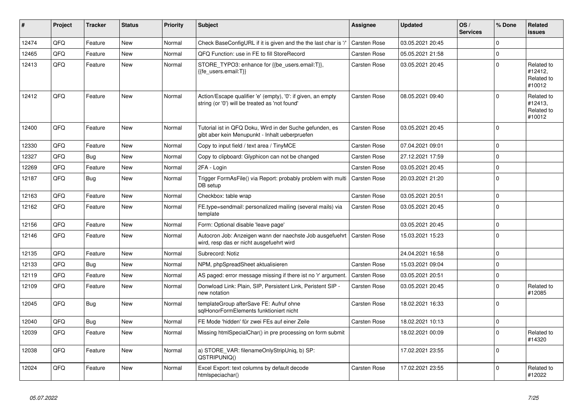| #     | Project | <b>Tracker</b> | <b>Status</b> | <b>Priority</b> | <b>Subject</b>                                                                                                 | Assignee            | <b>Updated</b>   | OS/<br><b>Services</b> | % Done      | Related<br>issues                             |
|-------|---------|----------------|---------------|-----------------|----------------------------------------------------------------------------------------------------------------|---------------------|------------------|------------------------|-------------|-----------------------------------------------|
| 12474 | QFQ     | Feature        | <b>New</b>    | Normal          | Check BaseConfigURL if it is given and the the last char is '/'                                                | <b>Carsten Rose</b> | 03.05.2021 20:45 |                        | $\Omega$    |                                               |
| 12465 | QFQ     | Feature        | <b>New</b>    | Normal          | QFQ Function: use in FE to fill StoreRecord                                                                    | Carsten Rose        | 05.05.2021 21:58 |                        | $\Omega$    |                                               |
| 12413 | QFQ     | Feature        | <b>New</b>    | Normal          | STORE_TYPO3: enhance for {{be_users.email:T}},<br>{{fe users.email:T}}                                         | Carsten Rose        | 03.05.2021 20:45 |                        | $\Omega$    | Related to<br>#12412,<br>Related to<br>#10012 |
| 12412 | QFQ     | Feature        | New           | Normal          | Action/Escape qualifier 'e' (empty), '0': if given, an empty<br>string (or '0') will be treated as 'not found' | Carsten Rose        | 08.05.2021 09:40 |                        | $\Omega$    | Related to<br>#12413,<br>Related to<br>#10012 |
| 12400 | QFQ     | Feature        | New           | Normal          | Tutorial ist in QFQ Doku, Wird in der Suche gefunden, es<br>gibt aber kein Menupunkt - Inhalt ueberpruefen     | Carsten Rose        | 03.05.2021 20:45 |                        | $\mathbf 0$ |                                               |
| 12330 | QFQ     | Feature        | <b>New</b>    | Normal          | Copy to input field / text area / TinyMCE                                                                      | <b>Carsten Rose</b> | 07.04.2021 09:01 |                        | $\Omega$    |                                               |
| 12327 | QFQ     | Bug            | <b>New</b>    | Normal          | Copy to clipboard: Glyphicon can not be changed                                                                | <b>Carsten Rose</b> | 27.12.2021 17:59 |                        | $\mathbf 0$ |                                               |
| 12269 | QFQ     | Feature        | <b>New</b>    | Normal          | 2FA - Login                                                                                                    | <b>Carsten Rose</b> | 03.05.2021 20:45 |                        | $\mathbf 0$ |                                               |
| 12187 | QFQ     | Bug            | <b>New</b>    | Normal          | Trigger FormAsFile() via Report: probably problem with multi<br>DB setup                                       | <b>Carsten Rose</b> | 20.03.2021 21:20 |                        | $\mathbf 0$ |                                               |
| 12163 | QFQ     | Feature        | <b>New</b>    | Normal          | Checkbox: table wrap                                                                                           | Carsten Rose        | 03.05.2021 20:51 |                        | $\mathbf 0$ |                                               |
| 12162 | QFQ     | Feature        | New           | Normal          | FE.type=sendmail: personalized mailing (several mails) via<br>template                                         | Carsten Rose        | 03.05.2021 20:45 |                        | $\Omega$    |                                               |
| 12156 | QFQ     | Feature        | <b>New</b>    | Normal          | Form: Optional disable 'leave page'                                                                            |                     | 03.05.2021 20:45 |                        | $\mathbf 0$ |                                               |
| 12146 | QFQ     | Feature        | <b>New</b>    | Normal          | Autocron Job: Anzeigen wann der naechste Job ausgefuehrt<br>wird, resp das er nicht ausgefuehrt wird           | <b>Carsten Rose</b> | 15.03.2021 15:23 |                        | $\Omega$    |                                               |
| 12135 | QFQ     | Feature        | <b>New</b>    | Normal          | Subrecord: Notiz                                                                                               |                     | 24.04.2021 16:58 |                        | $\mathbf 0$ |                                               |
| 12133 | QFQ     | <b>Bug</b>     | <b>New</b>    | Normal          | NPM, phpSpreadSheet aktualisieren                                                                              | Carsten Rose        | 15.03.2021 09:04 |                        | $\Omega$    |                                               |
| 12119 | QFQ     | Feature        | <b>New</b>    | Normal          | AS paged: error message missing if there ist no 'r' argument.                                                  | <b>Carsten Rose</b> | 03.05.2021 20:51 |                        | $\mathbf 0$ |                                               |
| 12109 | QFQ     | Feature        | New           | Normal          | Donwload Link: Plain, SIP, Persistent Link, Peristent SIP -<br>new notation                                    | <b>Carsten Rose</b> | 03.05.2021 20:45 |                        | $\mathbf 0$ | Related to<br>#12085                          |
| 12045 | QFQ     | Bug            | <b>New</b>    | Normal          | templateGroup afterSave FE: Aufruf ohne<br>sglHonorFormElements funktioniert nicht                             | Carsten Rose        | 18.02.2021 16:33 |                        | $\mathbf 0$ |                                               |
| 12040 | QFQ     | <b>Bug</b>     | <b>New</b>    | Normal          | FE Mode 'hidden' für zwei FEs auf einer Zeile                                                                  | Carsten Rose        | 18.02.2021 10:13 |                        | $\mathbf 0$ |                                               |
| 12039 | QFQ     | Feature        | New           | Normal          | Missing htmlSpecialChar() in pre processing on form submit                                                     |                     | 18.02.2021 00:09 |                        | $\Omega$    | Related to<br>#14320                          |
| 12038 | QFQ     | Feature        | <b>New</b>    | Normal          | a) STORE_VAR: filenameOnlyStripUniq, b) SP:<br>QSTRIPUNIQ()                                                    |                     | 17.02.2021 23:55 |                        | $\Omega$    |                                               |
| 12024 | QFQ     | Feature        | New           | Normal          | Excel Export: text columns by default decode<br>htmlspeciachar()                                               | Carsten Rose        | 17.02.2021 23:55 |                        | $\Omega$    | Related to<br>#12022                          |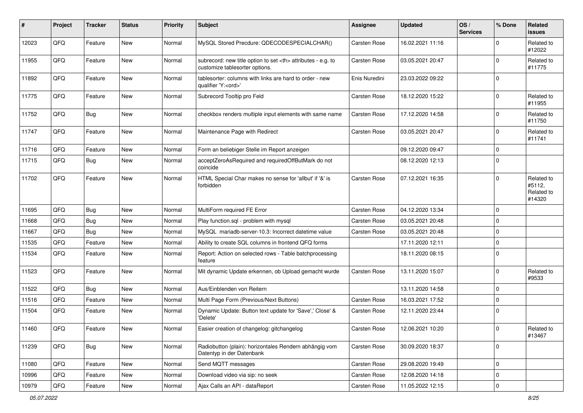| #     | Project | <b>Tracker</b> | <b>Status</b> | <b>Priority</b> | <b>Subject</b>                                                                                       | <b>Assignee</b>                                        | <b>Updated</b>   | OS/<br><b>Services</b> | % Done      | Related<br><b>issues</b>                     |                      |
|-------|---------|----------------|---------------|-----------------|------------------------------------------------------------------------------------------------------|--------------------------------------------------------|------------------|------------------------|-------------|----------------------------------------------|----------------------|
| 12023 | QFQ     | Feature        | New           | Normal          | MySQL Stored Precdure: QDECODESPECIALCHAR()                                                          | Carsten Rose                                           | 16.02.2021 11:16 |                        | $\Omega$    | Related to<br>#12022                         |                      |
| 11955 | QFQ     | Feature        | New           | Normal          | subrecord: new title option to set <th> attributes - e.g. to<br/>customize tablesorter options.</th> | attributes - e.g. to<br>customize tablesorter options. | Carsten Rose     | 03.05.2021 20:47       |             | $\Omega$                                     | Related to<br>#11775 |
| 11892 | QFQ     | Feature        | New           | Normal          | tablesorter: columns with links are hard to order - new<br>qualifier 'Y: <ord>'</ord>                | Enis Nuredini                                          | 23.03.2022 09:22 |                        | $\Omega$    |                                              |                      |
| 11775 | QFQ     | Feature        | New           | Normal          | Subrecord Tooltip pro Feld                                                                           | Carsten Rose                                           | 18.12.2020 15:22 |                        | $\Omega$    | Related to<br>#11955                         |                      |
| 11752 | QFQ     | Bug            | <b>New</b>    | Normal          | checkbox renders multiple input elements with same name                                              | Carsten Rose                                           | 17.12.2020 14:58 |                        | $\Omega$    | Related to<br>#11750                         |                      |
| 11747 | QFQ     | Feature        | New           | Normal          | Maintenance Page with Redirect                                                                       | Carsten Rose                                           | 03.05.2021 20:47 |                        | $\Omega$    | Related to<br>#11741                         |                      |
| 11716 | QFQ     | Feature        | <b>New</b>    | Normal          | Form an beliebiger Stelle im Report anzeigen                                                         |                                                        | 09.12.2020 09:47 |                        | $\mathbf 0$ |                                              |                      |
| 11715 | QFQ     | Bug            | <b>New</b>    | Normal          | acceptZeroAsRequired and requiredOffButMark do not<br>coincide                                       |                                                        | 08.12.2020 12:13 |                        | $\Omega$    |                                              |                      |
| 11702 | QFQ     | Feature        | New           | Normal          | HTML Special Char makes no sense for 'allbut' if '&' is<br>forbidden                                 | Carsten Rose                                           | 07.12.2021 16:35 |                        | $\Omega$    | Related to<br>#5112,<br>Related to<br>#14320 |                      |
| 11695 | QFQ     | Bug            | <b>New</b>    | Normal          | MultiForm required FE Error                                                                          | <b>Carsten Rose</b>                                    | 04.12.2020 13:34 |                        | $\Omega$    |                                              |                      |
| 11668 | QFQ     | <b>Bug</b>     | <b>New</b>    | Normal          | Play function.sql - problem with mysql                                                               | Carsten Rose                                           | 03.05.2021 20:48 |                        | $\Omega$    |                                              |                      |
| 11667 | QFQ     | Bug            | New           | Normal          | MySQL mariadb-server-10.3: Incorrect datetime value                                                  | Carsten Rose                                           | 03.05.2021 20:48 |                        | $\Omega$    |                                              |                      |
| 11535 | QFQ     | Feature        | <b>New</b>    | Normal          | Ability to create SQL columns in frontend QFQ forms                                                  |                                                        | 17.11.2020 12:11 |                        | $\Omega$    |                                              |                      |
| 11534 | QFQ     | Feature        | <b>New</b>    | Normal          | Report: Action on selected rows - Table batchprocessing<br>feature                                   |                                                        | 18.11.2020 08:15 |                        | $\Omega$    |                                              |                      |
| 11523 | QFQ     | Feature        | New           | Normal          | Mit dynamic Update erkennen, ob Upload gemacht wurde                                                 | Carsten Rose                                           | 13.11.2020 15:07 |                        | $\Omega$    | Related to<br>#9533                          |                      |
| 11522 | QFQ     | Bug            | New           | Normal          | Aus/Einblenden von Reitern                                                                           |                                                        | 13.11.2020 14:58 |                        | $\Omega$    |                                              |                      |
| 11516 | QFQ     | Feature        | <b>New</b>    | Normal          | Multi Page Form (Previous/Next Buttons)                                                              | Carsten Rose                                           | 16.03.2021 17:52 |                        | $\Omega$    |                                              |                      |
| 11504 | QFQ     | Feature        | New           | Normal          | Dynamic Update: Button text update for 'Save',' Close' &<br>'Delete'                                 | Carsten Rose                                           | 12.11.2020 23:44 |                        | $\Omega$    |                                              |                      |
| 11460 | QFG     | Feature        | <b>New</b>    | Normal          | Easier creation of changelog: gitchangelog                                                           | Carsten Rose                                           | 12.06.2021 10:20 |                        | $\mathbf 0$ | Related to<br>#13467                         |                      |
| 11239 | QFQ     | <b>Bug</b>     | New           | Normal          | Radiobutton (plain): horizontales Rendern abhängig vom<br>Datentyp in der Datenbank                  | Carsten Rose                                           | 30.09.2020 18:37 |                        | $\mathbf 0$ |                                              |                      |
| 11080 | QFQ     | Feature        | New           | Normal          | Send MQTT messages                                                                                   | Carsten Rose                                           | 29.08.2020 19:49 |                        | $\pmb{0}$   |                                              |                      |
| 10996 | QFO     | Feature        | New           | Normal          | Download video via sip: no seek                                                                      | Carsten Rose                                           | 12.08.2020 14:18 |                        | $\pmb{0}$   |                                              |                      |
| 10979 | QFQ     | Feature        | New           | Normal          | Ajax Calls an API - dataReport                                                                       | Carsten Rose                                           | 11.05.2022 12:15 |                        | $\pmb{0}$   |                                              |                      |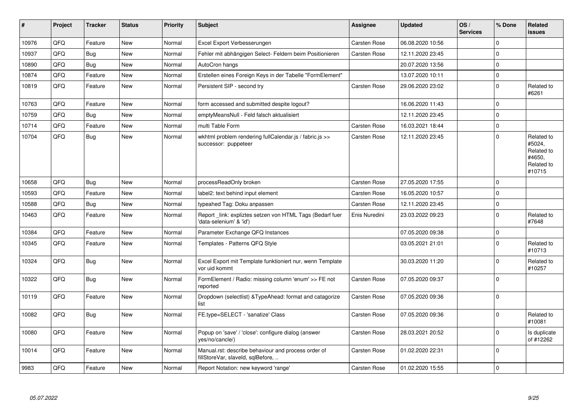| $\pmb{\sharp}$ | Project | <b>Tracker</b> | <b>Status</b> | <b>Priority</b> | <b>Subject</b>                                                                           | Assignee      | <b>Updated</b>   | OS/<br><b>Services</b> | % Done      | Related<br>issues                                                    |
|----------------|---------|----------------|---------------|-----------------|------------------------------------------------------------------------------------------|---------------|------------------|------------------------|-------------|----------------------------------------------------------------------|
| 10976          | QFQ     | Feature        | New           | Normal          | Excel Export Verbesserungen                                                              | Carsten Rose  | 06.08.2020 10:56 |                        | $\mathbf 0$ |                                                                      |
| 10937          | QFQ     | <b>Bug</b>     | <b>New</b>    | Normal          | Fehler mit abhängigen Select- Feldern beim Positionieren                                 | Carsten Rose  | 12.11.2020 23:45 |                        | $\mathbf 0$ |                                                                      |
| 10890          | QFQ     | <b>Bug</b>     | <b>New</b>    | Normal          | AutoCron hangs                                                                           |               | 20.07.2020 13:56 |                        | $\Omega$    |                                                                      |
| 10874          | QFQ     | Feature        | New           | Normal          | Erstellen eines Foreign Keys in der Tabelle "FormElement"                                |               | 13.07.2020 10:11 |                        | $\mathbf 0$ |                                                                      |
| 10819          | QFQ     | Feature        | New           | Normal          | Persistent SIP - second try                                                              | Carsten Rose  | 29.06.2020 23:02 |                        | $\mathbf 0$ | Related to<br>#6261                                                  |
| 10763          | QFQ     | Feature        | <b>New</b>    | Normal          | form accessed and submitted despite logout?                                              |               | 16.06.2020 11:43 |                        | $\mathbf 0$ |                                                                      |
| 10759          | QFQ     | <b>Bug</b>     | New           | Normal          | emptyMeansNull - Feld falsch aktualisiert                                                |               | 12.11.2020 23:45 |                        | $\mathbf 0$ |                                                                      |
| 10714          | QFQ     | Feature        | <b>New</b>    | Normal          | multi Table Form                                                                         | Carsten Rose  | 16.03.2021 18:44 |                        | $\pmb{0}$   |                                                                      |
| 10704          | QFQ     | Bug            | New           | Normal          | wkhtml problem rendering fullCalendar.js / fabric.js >><br>successor: puppeteer          | Carsten Rose  | 12.11.2020 23:45 |                        | $\mathbf 0$ | Related to<br>#5024,<br>Related to<br>#4650,<br>Related to<br>#10715 |
| 10658          | QFQ     | <b>Bug</b>     | <b>New</b>    | Normal          | processReadOnly broken                                                                   | Carsten Rose  | 27.05.2020 17:55 |                        | $\mathbf 0$ |                                                                      |
| 10593          | QFQ     | Feature        | <b>New</b>    | Normal          | label2: text behind input element                                                        | Carsten Rose  | 16.05.2020 10:57 |                        | $\Omega$    |                                                                      |
| 10588          | QFQ     | Bug            | New           | Normal          | typeahed Tag: Doku anpassen                                                              | Carsten Rose  | 12.11.2020 23:45 |                        | $\pmb{0}$   |                                                                      |
| 10463          | QFQ     | Feature        | New           | Normal          | Report link: expliztes setzen von HTML Tags (Bedarf fuer<br>'data-selenium' & 'id')      | Enis Nuredini | 23.03.2022 09:23 |                        | $\mathbf 0$ | Related to<br>#7648                                                  |
| 10384          | QFQ     | Feature        | <b>New</b>    | Normal          | Parameter Exchange QFQ Instances                                                         |               | 07.05.2020 09:38 |                        | $\mathbf 0$ |                                                                      |
| 10345          | QFQ     | Feature        | <b>New</b>    | Normal          | Templates - Patterns QFQ Style                                                           |               | 03.05.2021 21:01 |                        | $\mathbf 0$ | Related to<br>#10713                                                 |
| 10324          | QFQ     | Bug            | <b>New</b>    | Normal          | Excel Export mit Template funktioniert nur, wenn Template<br>vor uid kommt               |               | 30.03.2020 11:20 |                        | $\mathbf 0$ | Related to<br>#10257                                                 |
| 10322          | QFQ     | Bug            | <b>New</b>    | Normal          | FormElement / Radio: missing column 'enum' >> FE not<br>reported                         | Carsten Rose  | 07.05.2020 09:37 |                        | $\Omega$    |                                                                      |
| 10119          | QFQ     | Feature        | <b>New</b>    | Normal          | Dropdown (selectlist) & Type Ahead: format and catagorize<br>list                        | Carsten Rose  | 07.05.2020 09:36 |                        | $\mathbf 0$ |                                                                      |
| 10082          | QFQ     | Bug            | <b>New</b>    | Normal          | FE.type=SELECT - 'sanatize' Class                                                        | Carsten Rose  | 07.05.2020 09:36 |                        | $\mathbf 0$ | Related to<br>#10081                                                 |
| 10080          | QFQ     | Feature        | New           | Normal          | Popup on 'save' / 'close': configure dialog (answer<br>yes/no/cancle/)                   | Carsten Rose  | 28.03.2021 20:52 |                        | $\mathbf 0$ | Is duplicate<br>of #12262                                            |
| 10014          | QFQ     | Feature        | <b>New</b>    | Normal          | Manual.rst: describe behaviour and process order of<br>fillStoreVar, slaveId, sqlBefore, | Carsten Rose  | 01.02.2020 22:31 |                        | $\mathbf 0$ |                                                                      |
| 9983           | QFQ     | Feature        | New           | Normal          | Report Notation: new keyword 'range'                                                     | Carsten Rose  | 01.02.2020 15:55 |                        | $\mathbf 0$ |                                                                      |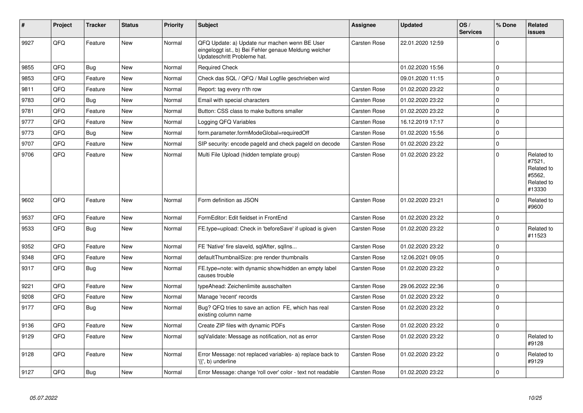| ∦    | Project | <b>Tracker</b> | <b>Status</b> | <b>Priority</b> | <b>Subject</b>                                                                                                                        | Assignee            | <b>Updated</b>   | OS/<br><b>Services</b> | % Done         | Related<br><b>issues</b>                                             |
|------|---------|----------------|---------------|-----------------|---------------------------------------------------------------------------------------------------------------------------------------|---------------------|------------------|------------------------|----------------|----------------------------------------------------------------------|
| 9927 | QFQ     | Feature        | New           | Normal          | QFQ Update: a) Update nur machen wenn BE User<br>eingeloggt ist., b) Bei Fehler genaue Meldung welcher<br>Updateschritt Probleme hat. | Carsten Rose        | 22.01.2020 12:59 |                        | $\mathbf 0$    |                                                                      |
| 9855 | QFQ     | <b>Bug</b>     | New           | Normal          | <b>Required Check</b>                                                                                                                 |                     | 01.02.2020 15:56 |                        | $\overline{0}$ |                                                                      |
| 9853 | QFQ     | Feature        | <b>New</b>    | Normal          | Check das SQL / QFQ / Mail Logfile geschrieben wird                                                                                   |                     | 09.01.2020 11:15 |                        | $\overline{0}$ |                                                                      |
| 9811 | QFQ     | Feature        | <b>New</b>    | Normal          | Report: tag every n'th row                                                                                                            | <b>Carsten Rose</b> | 01.02.2020 23:22 |                        | $\mathbf 0$    |                                                                      |
| 9783 | QFQ     | <b>Bug</b>     | <b>New</b>    | Normal          | Email with special characters                                                                                                         | <b>Carsten Rose</b> | 01.02.2020 23:22 |                        | 0              |                                                                      |
| 9781 | QFQ     | Feature        | New           | Normal          | Button: CSS class to make buttons smaller                                                                                             | Carsten Rose        | 01.02.2020 23:22 |                        | $\pmb{0}$      |                                                                      |
| 9777 | QFQ     | Feature        | <b>New</b>    | Normal          | Logging QFQ Variables                                                                                                                 | <b>Carsten Rose</b> | 16.12.2019 17:17 |                        | $\overline{0}$ |                                                                      |
| 9773 | QFQ     | Bug            | New           | Normal          | form.parameter.formModeGlobal=requiredOff                                                                                             | <b>Carsten Rose</b> | 01.02.2020 15:56 |                        | $\mathbf 0$    |                                                                      |
| 9707 | QFQ     | Feature        | <b>New</b>    | Normal          | SIP security: encode pageld and check pageld on decode                                                                                | <b>Carsten Rose</b> | 01.02.2020 23:22 |                        | $\overline{0}$ |                                                                      |
| 9706 | QFQ     | Feature        | New           | Normal          | Multi File Upload (hidden template group)                                                                                             | <b>Carsten Rose</b> | 01.02.2020 23:22 |                        | $\mathbf 0$    | Related to<br>#7521,<br>Related to<br>#5562.<br>Related to<br>#13330 |
| 9602 | QFQ     | Feature        | New           | Normal          | Form definition as JSON                                                                                                               | <b>Carsten Rose</b> | 01.02.2020 23:21 |                        | $\mathbf 0$    | Related to<br>#9600                                                  |
| 9537 | QFQ     | Feature        | <b>New</b>    | Normal          | FormEditor: Edit fieldset in FrontEnd                                                                                                 | <b>Carsten Rose</b> | 01.02.2020 23:22 |                        | 0              |                                                                      |
| 9533 | QFQ     | Bug            | New           | Normal          | FE.type=upload: Check in 'beforeSave' if upload is given                                                                              | <b>Carsten Rose</b> | 01.02.2020 23:22 |                        | 0              | Related to<br>#11523                                                 |
| 9352 | QFQ     | Feature        | New           | Normal          | FE 'Native' fire slaveld, sqlAfter, sqlIns                                                                                            | <b>Carsten Rose</b> | 01.02.2020 23:22 |                        | $\mathbf 0$    |                                                                      |
| 9348 | QFQ     | Feature        | New           | Normal          | defaultThumbnailSize: pre render thumbnails                                                                                           | <b>Carsten Rose</b> | 12.06.2021 09:05 |                        | $\mathbf 0$    |                                                                      |
| 9317 | QFQ     | Bug            | New           | Normal          | FE.type=note: with dynamic show/hidden an empty label<br>causes trouble                                                               | <b>Carsten Rose</b> | 01.02.2020 23:22 |                        | 0              |                                                                      |
| 9221 | QFQ     | Feature        | New           | Normal          | typeAhead: Zeichenlimite ausschalten                                                                                                  | <b>Carsten Rose</b> | 29.06.2022 22:36 |                        | $\pmb{0}$      |                                                                      |
| 9208 | QFQ     | Feature        | New           | Normal          | Manage 'recent' records                                                                                                               | Carsten Rose        | 01.02.2020 23:22 |                        | 0              |                                                                      |
| 9177 | QFQ     | <b>Bug</b>     | New           | Normal          | Bug? QFQ tries to save an action FE, which has real<br>existing column name                                                           | <b>Carsten Rose</b> | 01.02.2020 23:22 |                        | 0              |                                                                      |
| 9136 | QFQ     | Feature        | New           | Normal          | Create ZIP files with dynamic PDFs                                                                                                    | <b>Carsten Rose</b> | 01.02.2020 23:22 |                        | $\overline{0}$ |                                                                      |
| 9129 | QFQ     | Feature        | New           | Normal          | sqlValidate: Message as notification, not as error                                                                                    | Carsten Rose        | 01.02.2020 23:22 |                        | $\Omega$       | Related to<br>#9128                                                  |
| 9128 | QFQ     | Feature        | <b>New</b>    | Normal          | Error Message: not replaced variables- a) replace back to<br>'{{', b) underline                                                       | Carsten Rose        | 01.02.2020 23:22 |                        | $\Omega$       | Related to<br>#9129                                                  |
| 9127 | QFQ     | <b>Bug</b>     | New           | Normal          | Error Message: change 'roll over' color - text not readable                                                                           | <b>Carsten Rose</b> | 01.02.2020 23:22 |                        | $\overline{0}$ |                                                                      |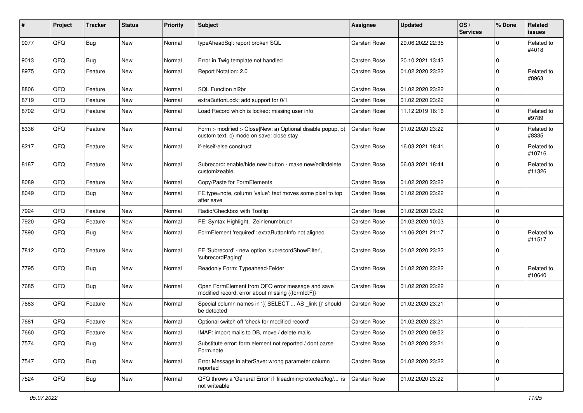| #    | Project | <b>Tracker</b> | <b>Status</b> | <b>Priority</b> | Subject                                                                                                | Assignee     | <b>Updated</b>   | OS/<br><b>Services</b> | % Done      | Related<br><b>issues</b> |
|------|---------|----------------|---------------|-----------------|--------------------------------------------------------------------------------------------------------|--------------|------------------|------------------------|-------------|--------------------------|
| 9077 | QFQ     | <b>Bug</b>     | <b>New</b>    | Normal          | typeAheadSql: report broken SQL                                                                        | Carsten Rose | 29.06.2022 22:35 |                        | $\mathbf 0$ | Related to<br>#4018      |
| 9013 | QFQ     | <b>Bug</b>     | New           | Normal          | Error in Twig template not handled                                                                     | Carsten Rose | 20.10.2021 13:43 |                        | $\mathbf 0$ |                          |
| 8975 | QFQ     | Feature        | <b>New</b>    | Normal          | Report Notation: 2.0                                                                                   | Carsten Rose | 01.02.2020 23:22 |                        | $\mathbf 0$ | Related to<br>#8963      |
| 8806 | QFQ     | Feature        | New           | Normal          | SQL Function nl2br                                                                                     | Carsten Rose | 01.02.2020 23:22 |                        | $\mathbf 0$ |                          |
| 8719 | QFQ     | Feature        | New           | Normal          | extraButtonLock: add support for 0/1                                                                   | Carsten Rose | 01.02.2020 23:22 |                        | $\mathbf 0$ |                          |
| 8702 | QFQ     | Feature        | New           | Normal          | Load Record which is locked: missing user info                                                         | Carsten Rose | 11.12.2019 16:16 |                        | $\mathbf 0$ | Related to<br>#9789      |
| 8336 | QFQ     | Feature        | New           | Normal          | Form > modified > Close New: a) Optional disable popup, b)<br>custom text, c) mode on save: close stay | Carsten Rose | 01.02.2020 23:22 |                        | $\mathbf 0$ | Related to<br>#8335      |
| 8217 | QFQ     | Feature        | <b>New</b>    | Normal          | if-elseif-else construct                                                                               | Carsten Rose | 16.03.2021 18:41 |                        | $\mathbf 0$ | Related to<br>#10716     |
| 8187 | QFQ     | Feature        | New           | Normal          | Subrecord: enable/hide new button - make new/edit/delete<br>customizeable.                             | Carsten Rose | 06.03.2021 18:44 |                        | $\mathbf 0$ | Related to<br>#11326     |
| 8089 | QFQ     | Feature        | <b>New</b>    | Normal          | Copy/Paste for FormElements                                                                            | Carsten Rose | 01.02.2020 23:22 |                        | $\mathbf 0$ |                          |
| 8049 | QFQ     | Bug            | New           | Normal          | FE.type=note, column 'value': text moves some pixel to top<br>after save                               | Carsten Rose | 01.02.2020 23:22 |                        | $\mathbf 0$ |                          |
| 7924 | QFQ     | Feature        | <b>New</b>    | Normal          | Radio/Checkbox with Tooltip                                                                            | Carsten Rose | 01.02.2020 23:22 |                        | $\mathbf 0$ |                          |
| 7920 | QFQ     | Feature        | <b>New</b>    | Normal          | FE: Syntax Highlight, Zeinlenumbruch                                                                   | Carsten Rose | 01.02.2020 10:03 |                        | $\mathbf 0$ |                          |
| 7890 | QFQ     | Bug            | New           | Normal          | FormElement 'required': extraButtonInfo not aligned                                                    | Carsten Rose | 11.06.2021 21:17 |                        | $\mathbf 0$ | Related to<br>#11517     |
| 7812 | QFQ     | Feature        | <b>New</b>    | Normal          | FE 'Subrecord' - new option 'subrecordShowFilter',<br>'subrecordPaging'                                | Carsten Rose | 01.02.2020 23:22 |                        | $\mathbf 0$ |                          |
| 7795 | QFQ     | Bug            | New           | Normal          | Readonly Form: Typeahead-Felder                                                                        | Carsten Rose | 01.02.2020 23:22 |                        | $\mathbf 0$ | Related to<br>#10640     |
| 7685 | QFQ     | Bug            | <b>New</b>    | Normal          | Open FormElement from QFQ error message and save<br>modified record: error about missing {{formId:F}}  | Carsten Rose | 01.02.2020 23:22 |                        | $\mathbf 0$ |                          |
| 7683 | QFQ     | Feature        | <b>New</b>    | Normal          | Special column names in '{{ SELECT  AS _link }}' should<br>be detected                                 | Carsten Rose | 01.02.2020 23:21 |                        | $\mathbf 0$ |                          |
| 7681 | QFQ     | Feature        | New           | Normal          | Optional switch off 'check for modified record'                                                        | Carsten Rose | 01.02.2020 23:21 |                        | $\mathbf 0$ |                          |
| 7660 | QFQ     | Feature        | New           | Normal          | IMAP: import mails to DB, move / delete mails                                                          | Carsten Rose | 01.02.2020 09:52 |                        | 0           |                          |
| 7574 | QFQ     | <b>Bug</b>     | New           | Normal          | Substitute error: form element not reported / dont parse<br>Form.note                                  | Carsten Rose | 01.02.2020 23:21 |                        | $\mathbf 0$ |                          |
| 7547 | QFQ     | Bug            | New           | Normal          | Error Message in afterSave: wrong parameter column<br>reported                                         | Carsten Rose | 01.02.2020 23:22 |                        | $\mathbf 0$ |                          |
| 7524 | QFQ     | <b>Bug</b>     | New           | Normal          | QFQ throws a 'General Error' if 'fileadmin/protected/log/' is<br>not writeable                         | Carsten Rose | 01.02.2020 23:22 |                        | $\mathbf 0$ |                          |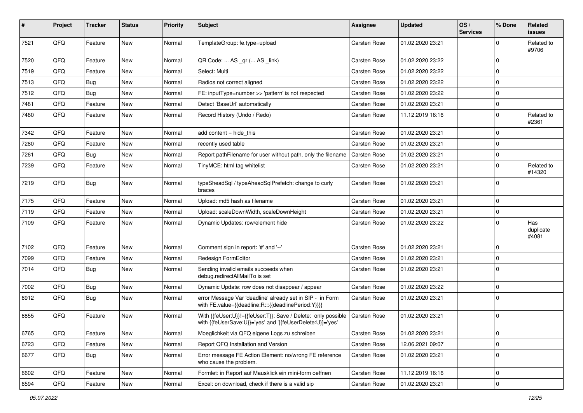| #    | Project | <b>Tracker</b> | <b>Status</b> | <b>Priority</b> | Subject                                                                                                                    | Assignee            | <b>Updated</b>   | OS/<br><b>Services</b> | % Done         | Related<br><b>issues</b>  |
|------|---------|----------------|---------------|-----------------|----------------------------------------------------------------------------------------------------------------------------|---------------------|------------------|------------------------|----------------|---------------------------|
| 7521 | QFQ     | Feature        | New           | Normal          | TemplateGroup: fe.type=upload                                                                                              | Carsten Rose        | 01.02.2020 23:21 |                        | $\mathbf 0$    | Related to<br>#9706       |
| 7520 | QFQ     | Feature        | New           | Normal          | QR Code:  AS _qr ( AS _link)                                                                                               | <b>Carsten Rose</b> | 01.02.2020 23:22 |                        | $\mathbf 0$    |                           |
| 7519 | QFQ     | Feature        | <b>New</b>    | Normal          | Select: Multi                                                                                                              | <b>Carsten Rose</b> | 01.02.2020 23:22 |                        | $\pmb{0}$      |                           |
| 7513 | QFQ     | <b>Bug</b>     | New           | Normal          | Radios not correct aligned                                                                                                 | <b>Carsten Rose</b> | 01.02.2020 23:22 |                        | $\mathbf 0$    |                           |
| 7512 | QFQ     | Bug            | New           | Normal          | FE: inputType=number >> 'pattern' is not respected                                                                         | <b>Carsten Rose</b> | 01.02.2020 23:22 |                        | $\mathbf 0$    |                           |
| 7481 | QFQ     | Feature        | New           | Normal          | Detect 'BaseUrl' automatically                                                                                             | Carsten Rose        | 01.02.2020 23:21 |                        | 0              |                           |
| 7480 | QFQ     | Feature        | New           | Normal          | Record History (Undo / Redo)                                                                                               | Carsten Rose        | 11.12.2019 16:16 |                        | $\mathbf 0$    | Related to<br>#2361       |
| 7342 | QFQ     | Feature        | New           | Normal          | add content = hide_this                                                                                                    | <b>Carsten Rose</b> | 01.02.2020 23:21 |                        | $\mathbf 0$    |                           |
| 7280 | QFQ     | Feature        | New           | Normal          | recently used table                                                                                                        | <b>Carsten Rose</b> | 01.02.2020 23:21 |                        | 0              |                           |
| 7261 | QFQ     | Bug            | <b>New</b>    | Normal          | Report pathFilename for user without path, only the filename                                                               | <b>Carsten Rose</b> | 01.02.2020 23:21 |                        | $\mathbf 0$    |                           |
| 7239 | QFQ     | Feature        | New           | Normal          | TinyMCE: html tag whitelist                                                                                                | Carsten Rose        | 01.02.2020 23:21 |                        | $\mathbf 0$    | Related to<br>#14320      |
| 7219 | QFQ     | Bug            | New           | Normal          | typeSheadSql / typeAheadSqlPrefetch: change to curly<br>braces                                                             | Carsten Rose        | 01.02.2020 23:21 |                        | $\overline{0}$ |                           |
| 7175 | QFQ     | Feature        | <b>New</b>    | Normal          | Upload: md5 hash as filename                                                                                               | <b>Carsten Rose</b> | 01.02.2020 23:21 |                        | $\mathbf 0$    |                           |
| 7119 | QFQ     | Feature        | New           | Normal          | Upload: scaleDownWidth, scaleDownHeight                                                                                    | <b>Carsten Rose</b> | 01.02.2020 23:21 |                        | $\mathbf 0$    |                           |
| 7109 | QFQ     | Feature        | New           | Normal          | Dynamic Updates: row/element hide                                                                                          | Carsten Rose        | 01.02.2020 23:22 |                        | 0              | Has<br>duplicate<br>#4081 |
| 7102 | QFQ     | Feature        | New           | Normal          | Comment sign in report: '#' and '--'                                                                                       | Carsten Rose        | 01.02.2020 23:21 |                        | 0              |                           |
| 7099 | QFQ     | Feature        | New           | Normal          | Redesign FormEditor                                                                                                        | <b>Carsten Rose</b> | 01.02.2020 23:21 |                        | $\overline{0}$ |                           |
| 7014 | QFQ     | Bug            | <b>New</b>    | Normal          | Sending invalid emails succeeds when<br>debug.redirectAllMailTo is set                                                     | Carsten Rose        | 01.02.2020 23:21 |                        | 0              |                           |
| 7002 | QFQ     | Bug            | New           | Normal          | Dynamic Update: row does not disappear / appear                                                                            | Carsten Rose        | 01.02.2020 23:22 |                        | $\overline{0}$ |                           |
| 6912 | QFQ     | Bug            | New           | Normal          | error Message Var 'deadline' already set in SIP - in Form<br>with FE.value={{deadline:R:::{{deadlinePeriod:Y}}}}           | Carsten Rose        | 01.02.2020 23:21 |                        | $\mathbf 0$    |                           |
| 6855 | QFQ     | Feature        | New           | Normal          | With {{feUser:U}}!={{feUser:T}}: Save / Delete: only possible<br>with {{feUserSave:U}}='yes' and '{{feUserDelete:U}}='yes' | <b>Carsten Rose</b> | 01.02.2020 23:21 |                        | 0              |                           |
| 6765 | QFQ     | Feature        | New           | Normal          | Moeglichkeit via QFQ eigene Logs zu schreiben                                                                              | Carsten Rose        | 01.02.2020 23:21 |                        | 0              |                           |
| 6723 | QFQ     | Feature        | New           | Normal          | Report QFQ Installation and Version                                                                                        | Carsten Rose        | 12.06.2021 09:07 |                        | $\mathbf 0$    |                           |
| 6677 | QFQ     | Bug            | New           | Normal          | Error message FE Action Element: no/wrong FE reference<br>who cause the problem.                                           | Carsten Rose        | 01.02.2020 23:21 |                        | 0              |                           |
| 6602 | QFQ     | Feature        | New           | Normal          | Formlet: in Report auf Mausklick ein mini-form oeffnen                                                                     | Carsten Rose        | 11.12.2019 16:16 |                        | 0              |                           |
| 6594 | QFQ     | Feature        | New           | Normal          | Excel: on download, check if there is a valid sip                                                                          | Carsten Rose        | 01.02.2020 23:21 |                        | $\overline{0}$ |                           |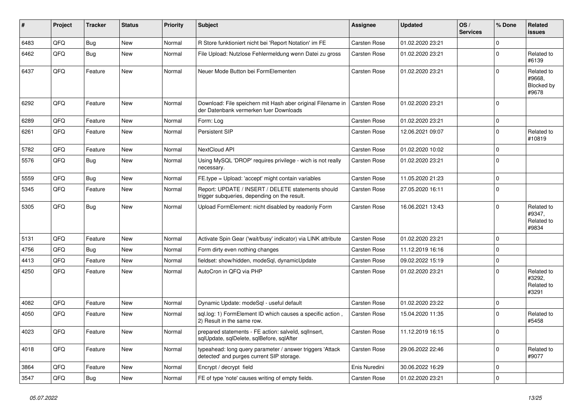| #    | Project | <b>Tracker</b> | <b>Status</b> | <b>Priority</b> | <b>Subject</b>                                                                                         | Assignee      | <b>Updated</b>   | OS/<br><b>Services</b> | % Done              | Related<br><b>issues</b>                    |
|------|---------|----------------|---------------|-----------------|--------------------------------------------------------------------------------------------------------|---------------|------------------|------------------------|---------------------|---------------------------------------------|
| 6483 | QFQ     | <b>Bug</b>     | New           | Normal          | R Store funktioniert nicht bei 'Report Notation' im FE                                                 | Carsten Rose  | 01.02.2020 23:21 |                        | $\mathbf 0$         |                                             |
| 6462 | QFQ     | <b>Bug</b>     | <b>New</b>    | Normal          | File Upload: Nutzlose Fehlermeldung wenn Datei zu gross                                                | Carsten Rose  | 01.02.2020 23:21 |                        | 0                   | Related to<br>#6139                         |
| 6437 | QFQ     | Feature        | New           | Normal          | Neuer Mode Button bei FormElementen                                                                    | Carsten Rose  | 01.02.2020 23:21 |                        | $\mathbf 0$         | Related to<br>#9668,<br>Blocked by<br>#9678 |
| 6292 | QFQ     | Feature        | New           | Normal          | Download: File speichern mit Hash aber original Filename in<br>der Datenbank vermerken fuer Downloads  | Carsten Rose  | 01.02.2020 23:21 |                        | $\Omega$            |                                             |
| 6289 | QFQ     | Feature        | <b>New</b>    | Normal          | Form: Log                                                                                              | Carsten Rose  | 01.02.2020 23:21 |                        | $\mathbf 0$         |                                             |
| 6261 | QFQ     | Feature        | New           | Normal          | Persistent SIP                                                                                         | Carsten Rose  | 12.06.2021 09:07 |                        | $\mathbf 0$         | Related to<br>#10819                        |
| 5782 | QFQ     | Feature        | New           | Normal          | NextCloud API                                                                                          | Carsten Rose  | 01.02.2020 10:02 |                        | $\mathbf 0$         |                                             |
| 5576 | QFQ     | Bug            | New           | Normal          | Using MySQL 'DROP' requires privilege - wich is not really<br>necessary.                               | Carsten Rose  | 01.02.2020 23:21 |                        | 0                   |                                             |
| 5559 | QFQ     | <b>Bug</b>     | <b>New</b>    | Normal          | FE.type = Upload: 'accept' might contain variables                                                     | Carsten Rose  | 11.05.2020 21:23 |                        | $\mathbf 0$         |                                             |
| 5345 | QFQ     | Feature        | New           | Normal          | Report: UPDATE / INSERT / DELETE statements should<br>trigger subqueries, depending on the result.     | Carsten Rose  | 27.05.2020 16:11 |                        | $\mathbf 0$         |                                             |
| 5305 | QFQ     | Bug            | New           | Normal          | Upload FormElement: nicht disabled by readonly Form                                                    | Carsten Rose  | 16.06.2021 13:43 |                        | $\mathbf 0$         | Related to<br>#9347,<br>Related to<br>#9834 |
| 5131 | QFQ     | Feature        | New           | Normal          | Activate Spin Gear ('wait/busy' indicator) via LINK attribute                                          | Carsten Rose  | 01.02.2020 23:21 |                        | $\mathbf 0$         |                                             |
| 4756 | QFQ     | <b>Bug</b>     | New           | Normal          | Form dirty even nothing changes                                                                        | Carsten Rose  | 11.12.2019 16:16 |                        | $\mathbf 0$         |                                             |
| 4413 | QFQ     | Feature        | New           | Normal          | fieldset: show/hidden, modeSql, dynamicUpdate                                                          | Carsten Rose  | 09.02.2022 15:19 |                        | $\mathbf 0$         |                                             |
| 4250 | QFQ     | Feature        | New           | Normal          | AutoCron in QFQ via PHP                                                                                | Carsten Rose  | 01.02.2020 23:21 |                        | $\mathbf 0$         | Related to<br>#3292,<br>Related to<br>#3291 |
| 4082 | QFQ     | Feature        | <b>New</b>    | Normal          | Dynamic Update: modeSql - useful default                                                               | Carsten Rose  | 01.02.2020 23:22 |                        | $\mathbf 0$         |                                             |
| 4050 | QFQ     | Feature        | New           | Normal          | sql.log: 1) FormElement ID which causes a specific action,<br>2) Result in the same row.               | Carsten Rose  | 15.04.2020 11:35 |                        | $\mathbf 0$         | Related to<br>#5458                         |
| 4023 | QFQ     | Feature        | New           | Normal          | prepared statements - FE action: salveld, sqlInsert,<br>sqlUpdate, sqlDelete, sqlBefore, sqlAfter      | Carsten Rose  | 11.12.2019 16:15 |                        | $\overline{0}$      |                                             |
| 4018 | QFQ     | Feature        | New           | Normal          | typeahead: long query parameter / answer triggers 'Attack<br>detected' and purges current SIP storage. | Carsten Rose  | 29.06.2022 22:46 |                        | $\mathsf{O}\xspace$ | Related to<br>#9077                         |
| 3864 | QFQ     | Feature        | New           | Normal          | Encrypt / decrypt field                                                                                | Enis Nuredini | 30.06.2022 16:29 |                        | $\mathbf 0$         |                                             |
| 3547 | QFQ     | Bug            | New           | Normal          | FE of type 'note' causes writing of empty fields.                                                      | Carsten Rose  | 01.02.2020 23:21 |                        | $\mathbf 0$         |                                             |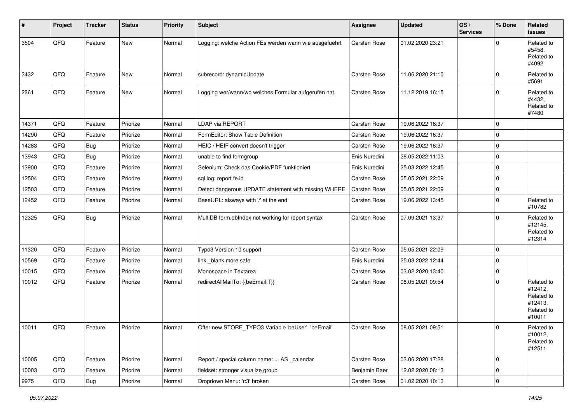| $\vert$ # | Project        | <b>Tracker</b> | <b>Status</b> | <b>Priority</b> | <b>Subject</b>                                         | <b>Assignee</b> | <b>Updated</b>   | OS/<br><b>Services</b> | % Done      | Related<br><b>issues</b>                                               |
|-----------|----------------|----------------|---------------|-----------------|--------------------------------------------------------|-----------------|------------------|------------------------|-------------|------------------------------------------------------------------------|
| 3504      | QFQ            | Feature        | New           | Normal          | Logging: welche Action FEs werden wann wie ausgefuehrt | Carsten Rose    | 01.02.2020 23:21 |                        | $\Omega$    | Related to<br>#5458,<br>Related to<br>#4092                            |
| 3432      | QFQ            | Feature        | New           | Normal          | subrecord: dynamicUpdate                               | Carsten Rose    | 11.06.2020 21:10 |                        | $\Omega$    | Related to<br>#5691                                                    |
| 2361      | QFQ            | Feature        | New           | Normal          | Logging wer/wann/wo welches Formular aufgerufen hat    | Carsten Rose    | 11.12.2019 16:15 |                        | $\Omega$    | Related to<br>#4432,<br>Related to<br>#7480                            |
| 14371     | QFQ            | Feature        | Priorize      | Normal          | LDAP via REPORT                                        | Carsten Rose    | 19.06.2022 16:37 |                        | $\Omega$    |                                                                        |
| 14290     | QFQ            | Feature        | Priorize      | Normal          | FormEditor: Show Table Definition                      | Carsten Rose    | 19.06.2022 16:37 |                        | $\Omega$    |                                                                        |
| 14283     | QFQ            | <b>Bug</b>     | Priorize      | Normal          | HEIC / HEIF convert doesn't trigger                    | Carsten Rose    | 19.06.2022 16:37 |                        | $\mathbf 0$ |                                                                        |
| 13943     | QFQ            | <b>Bug</b>     | Priorize      | Normal          | unable to find formgroup                               | Enis Nuredini   | 28.05.2022 11:03 |                        | $\Omega$    |                                                                        |
| 13900     | QFQ            | Feature        | Priorize      | Normal          | Selenium: Check das Cookie/PDF funktioniert            | Enis Nuredini   | 25.03.2022 12:45 |                        | $\mathbf 0$ |                                                                        |
| 12504     | QFQ            | Feature        | Priorize      | Normal          | sql.log: report fe.id                                  | Carsten Rose    | 05.05.2021 22:09 |                        | $\mathbf 0$ |                                                                        |
| 12503     | QFQ            | Feature        | Priorize      | Normal          | Detect dangerous UPDATE statement with missing WHERE   | Carsten Rose    | 05.05.2021 22:09 |                        | $\mathbf 0$ |                                                                        |
| 12452     | QFQ            | Feature        | Priorize      | Normal          | BaseURL: alsways with '/' at the end                   | Carsten Rose    | 19.06.2022 13:45 |                        | $\Omega$    | Related to<br>#10782                                                   |
| 12325     | QFQ            | Bug            | Priorize      | Normal          | MultiDB form.dblndex not working for report syntax     | Carsten Rose    | 07.09.2021 13:37 |                        | $\Omega$    | Related to<br>#12145,<br>Related to<br>#12314                          |
| 11320     | QFQ            | Feature        | Priorize      | Normal          | Typo3 Version 10 support                               | Carsten Rose    | 05.05.2021 22:09 |                        | $\mathbf 0$ |                                                                        |
| 10569     | QFQ            | Feature        | Priorize      | Normal          | link_blank more safe                                   | Enis Nuredini   | 25.03.2022 12:44 |                        | $\mathbf 0$ |                                                                        |
| 10015     | QFQ            | Feature        | Priorize      | Normal          | Monospace in Textarea                                  | Carsten Rose    | 03.02.2020 13:40 |                        | 0           |                                                                        |
| 10012     | QFQ            | Feature        | Priorize      | Normal          | redirectAllMailTo: {{beEmail:T}}                       | Carsten Rose    | 08.05.2021 09:54 |                        | $\Omega$    | Related to<br>#12412,<br>Related to<br>#12413,<br>Related to<br>#10011 |
| 10011     | QFQ            | Feature        | Priorize      | Normal          | Offer new STORE TYPO3 Variable 'beUser', 'beEmail'     | Carsten Rose    | 08.05.2021 09:51 |                        | $\Omega$    | Related to<br>#10012,<br>Related to<br>#12511                          |
| 10005     | QFQ            | Feature        | Priorize      | Normal          | Report / special column name:  AS _calendar            | Carsten Rose    | 03.06.2020 17:28 |                        | $\mathbf 0$ |                                                                        |
| 10003     | QFQ            | Feature        | Priorize      | Normal          | fieldset: stronger visualize group                     | Benjamin Baer   | 12.02.2020 08:13 |                        | $\pmb{0}$   |                                                                        |
| 9975      | $\mathsf{QFQ}$ | <b>Bug</b>     | Priorize      | Normal          | Dropdown Menu: 'r:3' broken                            | Carsten Rose    | 01.02.2020 10:13 |                        | $\mathbf 0$ |                                                                        |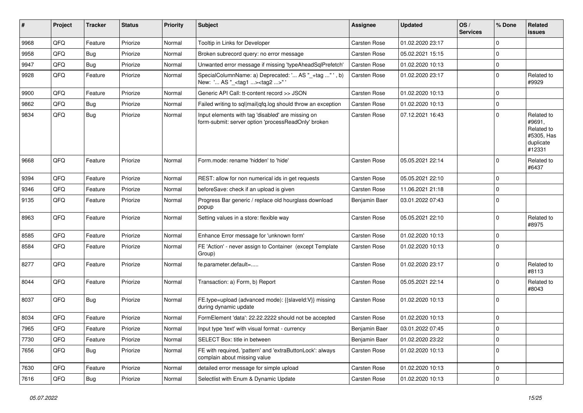| ∦    | Project | <b>Tracker</b> | <b>Status</b> | <b>Priority</b> | <b>Subject</b>                                                                                           | <b>Assignee</b> | <b>Updated</b>   | OS/<br><b>Services</b> | % Done      | Related<br>issues                                                       |
|------|---------|----------------|---------------|-----------------|----------------------------------------------------------------------------------------------------------|-----------------|------------------|------------------------|-------------|-------------------------------------------------------------------------|
| 9968 | QFQ     | Feature        | Priorize      | Normal          | Tooltip in Links for Developer                                                                           | Carsten Rose    | 01.02.2020 23:17 |                        | $\mathbf 0$ |                                                                         |
| 9958 | QFQ     | <b>Bug</b>     | Priorize      | Normal          | Broken subrecord query: no error message                                                                 | Carsten Rose    | 05.02.2021 15:15 |                        | $\mathbf 0$ |                                                                         |
| 9947 | QFQ     | <b>Bug</b>     | Priorize      | Normal          | Unwanted error message if missing 'typeAheadSqlPrefetch'                                                 | Carsten Rose    | 01.02.2020 10:13 |                        | $\mathbf 0$ |                                                                         |
| 9928 | QFQ     | Feature        | Priorize      | Normal          | SpecialColumnName: a) Deprecated: ' AS "_+tag " ', b)<br>New: ' AS "_ <tag1><tag2>"</tag2></tag1>        | Carsten Rose    | 01.02.2020 23:17 |                        | $\Omega$    | Related to<br>#9929                                                     |
| 9900 | QFQ     | Feature        | Priorize      | Normal          | Generic API Call: tt-content record >> JSON                                                              | Carsten Rose    | 01.02.2020 10:13 |                        | $\Omega$    |                                                                         |
| 9862 | QFQ     | <b>Bug</b>     | Priorize      | Normal          | Failed writing to sql mail qfq.log should throw an exception                                             | Carsten Rose    | 01.02.2020 10:13 |                        | 0           |                                                                         |
| 9834 | QFQ     | Bug            | Priorize      | Normal          | Input elements with tag 'disabled' are missing on<br>form-submit: server option 'processReadOnly' broken | Carsten Rose    | 07.12.2021 16:43 |                        | $\Omega$    | Related to<br>#9691,<br>Related to<br>#5305, Has<br>duplicate<br>#12331 |
| 9668 | QFQ     | Feature        | Priorize      | Normal          | Form.mode: rename 'hidden' to 'hide'                                                                     | Carsten Rose    | 05.05.2021 22:14 |                        | $\Omega$    | Related to<br>#6437                                                     |
| 9394 | QFQ     | Feature        | Priorize      | Normal          | REST: allow for non numerical ids in get requests                                                        | Carsten Rose    | 05.05.2021 22:10 |                        | $\Omega$    |                                                                         |
| 9346 | QFQ     | Feature        | Priorize      | Normal          | beforeSave: check if an upload is given                                                                  | Carsten Rose    | 11.06.2021 21:18 |                        | $\Omega$    |                                                                         |
| 9135 | QFQ     | Feature        | Priorize      | Normal          | Progress Bar generic / replace old hourglass download<br>popup                                           | Benjamin Baer   | 03.01.2022 07:43 |                        | $\Omega$    |                                                                         |
| 8963 | QFQ     | Feature        | Priorize      | Normal          | Setting values in a store: flexible way                                                                  | Carsten Rose    | 05.05.2021 22:10 |                        | $\Omega$    | Related to<br>#8975                                                     |
| 8585 | QFQ     | Feature        | Priorize      | Normal          | Enhance Error message for 'unknown form'                                                                 | Carsten Rose    | 01.02.2020 10:13 |                        | $\Omega$    |                                                                         |
| 8584 | QFQ     | Feature        | Priorize      | Normal          | FE 'Action' - never assign to Container (except Template<br>Group)                                       | Carsten Rose    | 01.02.2020 10:13 |                        | $\Omega$    |                                                                         |
| 8277 | QFQ     | Feature        | Priorize      | Normal          | fe.parameter.default=                                                                                    | Carsten Rose    | 01.02.2020 23:17 |                        | $\Omega$    | Related to<br>#8113                                                     |
| 8044 | QFQ     | Feature        | Priorize      | Normal          | Transaction: a) Form, b) Report                                                                          | Carsten Rose    | 05.05.2021 22:14 |                        | $\Omega$    | Related to<br>#8043                                                     |
| 8037 | QFQ     | <b>Bug</b>     | Priorize      | Normal          | FE.type=upload (advanced mode): {{slaveld:V}} missing<br>during dynamic update                           | Carsten Rose    | 01.02.2020 10:13 |                        | $\Omega$    |                                                                         |
| 8034 | QFQ     | Feature        | Priorize      | Normal          | FormElement 'data': 22.22.2222 should not be accepted                                                    | Carsten Rose    | 01.02.2020 10:13 |                        | $\mathbf 0$ |                                                                         |
| 7965 | QFG     | Feature        | Priorize      | Normal          | Input type 'text' with visual format - currency                                                          | Benjamin Baer   | 03.01.2022 07:45 |                        | $\mathbf 0$ |                                                                         |
| 7730 | QFQ     | Feature        | Priorize      | Normal          | SELECT Box: title in between                                                                             | Benjamin Baer   | 01.02.2020 23:22 |                        | 0           |                                                                         |
| 7656 | QFQ     | <b>Bug</b>     | Priorize      | Normal          | FE with required, 'pattern' and 'extraButtonLock': always<br>complain about missing value                | Carsten Rose    | 01.02.2020 10:13 |                        | 0           |                                                                         |
| 7630 | QFQ     | Feature        | Priorize      | Normal          | detailed error message for simple upload                                                                 | Carsten Rose    | 01.02.2020 10:13 |                        | 0           |                                                                         |
| 7616 | QFQ     | <b>Bug</b>     | Priorize      | Normal          | Selectlist with Enum & Dynamic Update                                                                    | Carsten Rose    | 01.02.2020 10:13 |                        | 0           |                                                                         |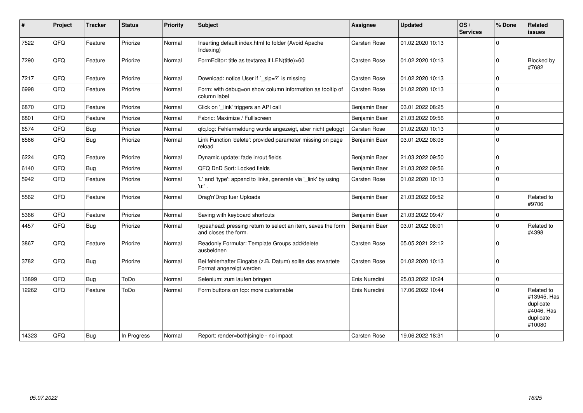| #     | Project | <b>Tracker</b> | <b>Status</b> | <b>Priority</b> | <b>Subject</b>                                                                        | Assignee      | <b>Updated</b>   | OS/<br><b>Services</b> | % Done      | Related<br><b>issues</b>                                                    |
|-------|---------|----------------|---------------|-----------------|---------------------------------------------------------------------------------------|---------------|------------------|------------------------|-------------|-----------------------------------------------------------------------------|
| 7522  | QFQ     | Feature        | Priorize      | Normal          | Inserting default index.html to folder (Avoid Apache<br>Indexing)                     | Carsten Rose  | 01.02.2020 10:13 |                        | $\Omega$    |                                                                             |
| 7290  | QFQ     | Feature        | Priorize      | Normal          | FormEditor: title as textarea if LEN(title)>60                                        | Carsten Rose  | 01.02.2020 10:13 |                        | $\mathbf 0$ | Blocked by<br>#7682                                                         |
| 7217  | QFQ     | Feature        | Priorize      | Normal          | Download: notice User if `_sip=?` is missing                                          | Carsten Rose  | 01.02.2020 10:13 |                        | $\mathbf 0$ |                                                                             |
| 6998  | QFQ     | Feature        | Priorize      | Normal          | Form: with debug=on show column information as tooltip of<br>column label             | Carsten Rose  | 01.02.2020 10:13 |                        | $\mathbf 0$ |                                                                             |
| 6870  | QFQ     | Feature        | Priorize      | Normal          | Click on '_link' triggers an API call                                                 | Benjamin Baer | 03.01.2022 08:25 |                        | $\Omega$    |                                                                             |
| 6801  | QFQ     | Feature        | Priorize      | Normal          | Fabric: Maximize / Fulllscreen                                                        | Benjamin Baer | 21.03.2022 09:56 |                        | $\Omega$    |                                                                             |
| 6574  | QFQ     | <b>Bug</b>     | Priorize      | Normal          | qfq.log: Fehlermeldung wurde angezeigt, aber nicht geloggt                            | Carsten Rose  | 01.02.2020 10:13 |                        | $\mathbf 0$ |                                                                             |
| 6566  | QFQ     | Bug            | Priorize      | Normal          | Link Function 'delete': provided parameter missing on page<br>reload                  | Benjamin Baer | 03.01.2022 08:08 |                        | $\Omega$    |                                                                             |
| 6224  | QFQ     | Feature        | Priorize      | Normal          | Dynamic update: fade in/out fields                                                    | Benjamin Baer | 21.03.2022 09:50 |                        | $\mathbf 0$ |                                                                             |
| 6140  | QFQ     | <b>Bug</b>     | Priorize      | Normal          | QFQ DnD Sort: Locked fields                                                           | Benjamin Baer | 21.03.2022 09:56 |                        | $\mathbf 0$ |                                                                             |
| 5942  | QFQ     | Feature        | Priorize      | Normal          | 'L' and 'type': append to links, generate via '_link' by using<br>'u.' .              | Carsten Rose  | 01.02.2020 10:13 |                        | $\Omega$    |                                                                             |
| 5562  | QFQ     | Feature        | Priorize      | Normal          | Drag'n'Drop fuer Uploads                                                              | Benjamin Baer | 21.03.2022 09:52 |                        | $\Omega$    | Related to<br>#9706                                                         |
| 5366  | QFQ     | Feature        | Priorize      | Normal          | Saving with keyboard shortcuts                                                        | Benjamin Baer | 21.03.2022 09:47 |                        | $\mathbf 0$ |                                                                             |
| 4457  | QFQ     | <b>Bug</b>     | Priorize      | Normal          | typeahead: pressing return to select an item, saves the form<br>and closes the form.  | Benjamin Baer | 03.01.2022 08:01 |                        | $\Omega$    | Related to<br>#4398                                                         |
| 3867  | QFQ     | Feature        | Priorize      | Normal          | Readonly Formular: Template Groups add/delete<br>ausbeldnen                           | Carsten Rose  | 05.05.2021 22:12 |                        | $\mathbf 0$ |                                                                             |
| 3782  | QFQ     | Bug            | Priorize      | Normal          | Bei fehlerhafter Eingabe (z.B. Datum) sollte das erwartete<br>Format angezeigt werden | Carsten Rose  | 01.02.2020 10:13 |                        | $\mathbf 0$ |                                                                             |
| 13899 | QFQ     | Bug            | ToDo          | Normal          | Selenium: zum laufen bringen                                                          | Enis Nuredini | 25.03.2022 10:24 |                        | $\mathbf 0$ |                                                                             |
| 12262 | QFQ     | Feature        | ToDo          | Normal          | Form buttons on top: more customable                                                  | Enis Nuredini | 17.06.2022 10:44 |                        | $\Omega$    | Related to<br>#13945, Has<br>duplicate<br>#4046, Has<br>duplicate<br>#10080 |
| 14323 | QFQ     | Bug            | In Progress   | Normal          | Report: render=both single - no impact                                                | Carsten Rose  | 19.06.2022 18:31 |                        | $\mathbf 0$ |                                                                             |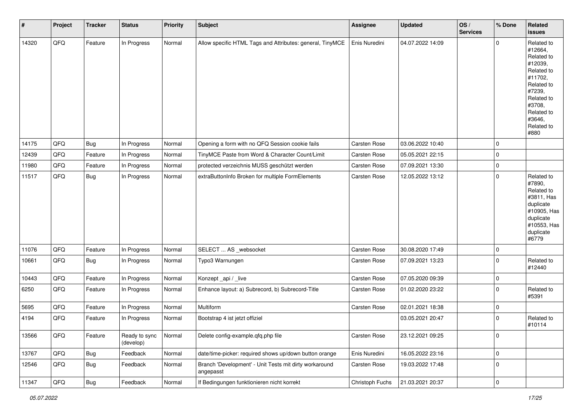| $\vert$ # | Project        | <b>Tracker</b> | <b>Status</b>              | <b>Priority</b> | Subject                                                             | Assignee        | <b>Updated</b>   | OS/<br><b>Services</b> | % Done      | Related<br><b>issues</b>                                                                                                                                              |
|-----------|----------------|----------------|----------------------------|-----------------|---------------------------------------------------------------------|-----------------|------------------|------------------------|-------------|-----------------------------------------------------------------------------------------------------------------------------------------------------------------------|
| 14320     | QFQ            | Feature        | In Progress                | Normal          | Allow specific HTML Tags and Attributes: general, TinyMCE           | Enis Nuredini   | 04.07.2022 14:09 |                        | $\mathbf 0$ | Related to<br>#12664,<br>Related to<br>#12039,<br>Related to<br>#11702,<br>Related to<br>#7239,<br>Related to<br>#3708,<br>Related to<br>#3646,<br>Related to<br>#880 |
| 14175     | QFQ            | Bug            | In Progress                | Normal          | Opening a form with no QFQ Session cookie fails                     | Carsten Rose    | 03.06.2022 10:40 |                        | $\mathbf 0$ |                                                                                                                                                                       |
| 12439     | QFQ            | Feature        | In Progress                | Normal          | TinyMCE Paste from Word & Character Count/Limit                     | Carsten Rose    | 05.05.2021 22:15 |                        | $\mathbf 0$ |                                                                                                                                                                       |
| 11980     | QFQ            | Feature        | In Progress                | Normal          | protected verzeichnis MUSS geschützt werden                         | Carsten Rose    | 07.09.2021 13:30 |                        | $\mathbf 0$ |                                                                                                                                                                       |
| 11517     | QFQ            | <b>Bug</b>     | In Progress                | Normal          | extraButtonInfo Broken for multiple FormElements                    | Carsten Rose    | 12.05.2022 13:12 |                        | $\mathbf 0$ | Related to<br>#7890,<br>Related to<br>#3811, Has<br>duplicate<br>#10905, Has<br>duplicate<br>#10553, Has<br>duplicate<br>#6779                                        |
| 11076     | QFQ            | Feature        | In Progress                | Normal          | SELECT  AS _websocket                                               | Carsten Rose    | 30.08.2020 17:49 |                        | $\pmb{0}$   |                                                                                                                                                                       |
| 10661     | QFQ            | <b>Bug</b>     | In Progress                | Normal          | Typo3 Warnungen                                                     | Carsten Rose    | 07.09.2021 13:23 |                        | $\mathbf 0$ | Related to<br>#12440                                                                                                                                                  |
| 10443     | QFQ            | Feature        | In Progress                | Normal          | Konzept_api / _live                                                 | Carsten Rose    | 07.05.2020 09:39 |                        | $\pmb{0}$   |                                                                                                                                                                       |
| 6250      | QFQ            | Feature        | In Progress                | Normal          | Enhance layout: a) Subrecord, b) Subrecord-Title                    | Carsten Rose    | 01.02.2020 23:22 |                        | $\mathbf 0$ | Related to<br>#5391                                                                                                                                                   |
| 5695      | QFQ            | Feature        | In Progress                | Normal          | Multiform                                                           | Carsten Rose    | 02.01.2021 18:38 |                        | $\pmb{0}$   |                                                                                                                                                                       |
| 4194      | QFQ            | Feature        | In Progress                | Normal          | Bootstrap 4 ist jetzt offiziel                                      |                 | 03.05.2021 20:47 |                        | $\mathbf 0$ | Related to<br>#10114                                                                                                                                                  |
| 13566     | QFO            | Feature        | Ready to sync<br>(develop) | Normal          | Delete config-example.qfq.php file                                  | Carsten Rose    | 23.12.2021 09:25 |                        | $\mathbf 0$ |                                                                                                                                                                       |
| 13767     | QFQ            | <b>Bug</b>     | Feedback                   | Normal          | date/time-picker: required shows up/down button orange              | Enis Nuredini   | 16.05.2022 23:16 |                        | $\pmb{0}$   |                                                                                                                                                                       |
| 12546     | QFQ            | <b>Bug</b>     | Feedback                   | Normal          | Branch 'Development' - Unit Tests mit dirty workaround<br>angepasst | Carsten Rose    | 19.03.2022 17:48 |                        | $\mathbf 0$ |                                                                                                                                                                       |
| 11347     | $\mathsf{QFQ}$ | <b>Bug</b>     | Feedback                   | Normal          | If Bedingungen funktionieren nicht korrekt                          | Christoph Fuchs | 21.03.2021 20:37 |                        | $\pmb{0}$   |                                                                                                                                                                       |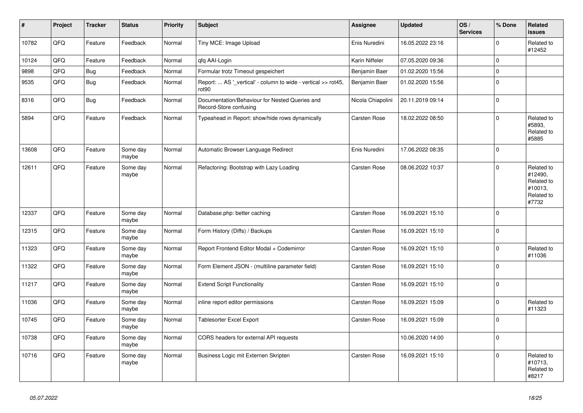| $\vert$ # | Project | <b>Tracker</b> | <b>Status</b>     | <b>Priority</b> | <b>Subject</b>                                                           | Assignee          | <b>Updated</b>   | OS/<br><b>Services</b> | % Done      | Related<br><b>issues</b>                                              |
|-----------|---------|----------------|-------------------|-----------------|--------------------------------------------------------------------------|-------------------|------------------|------------------------|-------------|-----------------------------------------------------------------------|
| 10782     | QFQ     | Feature        | Feedback          | Normal          | Tiny MCE: Image Upload                                                   | Enis Nuredini     | 16.05.2022 23:16 |                        | $\Omega$    | Related to<br>#12452                                                  |
| 10124     | QFQ     | Feature        | Feedback          | Normal          | qfq AAI-Login                                                            | Karin Niffeler    | 07.05.2020 09:36 |                        | $\mathbf 0$ |                                                                       |
| 9898      | QFQ     | Bug            | Feedback          | Normal          | Formular trotz Timeout gespeichert                                       | Benjamin Baer     | 01.02.2020 15:56 |                        | $\Omega$    |                                                                       |
| 9535      | QFQ     | <b>Bug</b>     | Feedback          | Normal          | Report:  AS '_vertical' - column to wide - vertical >> rot45,<br>rot90   | Benjamin Baer     | 01.02.2020 15:56 |                        | $\mathbf 0$ |                                                                       |
| 8316      | QFQ     | <b>Bug</b>     | Feedback          | Normal          | Documentation/Behaviour for Nested Queries and<br>Record-Store confusing | Nicola Chiapolini | 20.11.2019 09:14 |                        | $\Omega$    |                                                                       |
| 5894      | QFQ     | Feature        | Feedback          | Normal          | Typeahead in Report: show/hide rows dynamically                          | Carsten Rose      | 18.02.2022 08:50 |                        | $\mathbf 0$ | Related to<br>#5893,<br>Related to<br>#5885                           |
| 13608     | QFQ     | Feature        | Some day<br>maybe | Normal          | Automatic Browser Language Redirect                                      | Enis Nuredini     | 17.06.2022 08:35 |                        | $\Omega$    |                                                                       |
| 12611     | QFQ     | Feature        | Some day<br>maybe | Normal          | Refactoring: Bootstrap with Lazy Loading                                 | Carsten Rose      | 08.06.2022 10:37 |                        | $\Omega$    | Related to<br>#12490.<br>Related to<br>#10013,<br>Related to<br>#7732 |
| 12337     | QFQ     | Feature        | Some day<br>maybe | Normal          | Database.php: better caching                                             | Carsten Rose      | 16.09.2021 15:10 |                        | $\Omega$    |                                                                       |
| 12315     | QFQ     | Feature        | Some day<br>maybe | Normal          | Form History (Diffs) / Backups                                           | Carsten Rose      | 16.09.2021 15:10 |                        | $\Omega$    |                                                                       |
| 11323     | QFQ     | Feature        | Some day<br>maybe | Normal          | Report Frontend Editor Modal + Codemirror                                | Carsten Rose      | 16.09.2021 15:10 |                        | $\mathbf 0$ | Related to<br>#11036                                                  |
| 11322     | QFQ     | Feature        | Some day<br>maybe | Normal          | Form Element JSON - (multiline parameter field)                          | Carsten Rose      | 16.09.2021 15:10 |                        | $\Omega$    |                                                                       |
| 11217     | QFQ     | Feature        | Some day<br>maybe | Normal          | <b>Extend Script Functionality</b>                                       | Carsten Rose      | 16.09.2021 15:10 |                        | $\Omega$    |                                                                       |
| 11036     | QFQ     | Feature        | Some day<br>maybe | Normal          | inline report editor permissions                                         | Carsten Rose      | 16.09.2021 15:09 |                        | $\mathbf 0$ | Related to<br>#11323                                                  |
| 10745     | QFQ     | Feature        | Some day<br>maybe | Normal          | Tablesorter Excel Export                                                 | Carsten Rose      | 16.09.2021 15:09 |                        | $\Omega$    |                                                                       |
| 10738     | QFQ     | Feature        | Some day<br>maybe | Normal          | CORS headers for external API requests                                   |                   | 10.06.2020 14:00 |                        | $\mathbf 0$ |                                                                       |
| 10716     | QFQ     | Feature        | Some day<br>maybe | Normal          | Business Logic mit Externen Skripten                                     | Carsten Rose      | 16.09.2021 15:10 |                        | $\Omega$    | Related to<br>#10713,<br>Related to<br>#8217                          |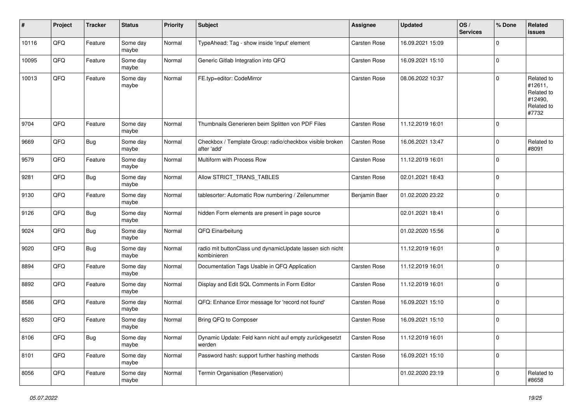| #     | Project | <b>Tracker</b> | <b>Status</b>     | <b>Priority</b> | <b>Subject</b>                                                           | Assignee      | <b>Updated</b>   | OS/<br><b>Services</b> | % Done      | Related<br>issues                                                     |
|-------|---------|----------------|-------------------|-----------------|--------------------------------------------------------------------------|---------------|------------------|------------------------|-------------|-----------------------------------------------------------------------|
| 10116 | QFQ     | Feature        | Some day<br>maybe | Normal          | TypeAhead: Tag - show inside 'input' element                             | Carsten Rose  | 16.09.2021 15:09 |                        | $\Omega$    |                                                                       |
| 10095 | QFQ     | Feature        | Some day<br>maybe | Normal          | Generic Gitlab Integration into QFQ                                      | Carsten Rose  | 16.09.2021 15:10 |                        | $\mathbf 0$ |                                                                       |
| 10013 | QFQ     | Feature        | Some day<br>maybe | Normal          | FE.typ=editor: CodeMirror                                                | Carsten Rose  | 08.06.2022 10:37 |                        | $\Omega$    | Related to<br>#12611,<br>Related to<br>#12490,<br>Related to<br>#7732 |
| 9704  | QFQ     | Feature        | Some day<br>maybe | Normal          | Thumbnails Generieren beim Splitten von PDF Files                        | Carsten Rose  | 11.12.2019 16:01 |                        | $\Omega$    |                                                                       |
| 9669  | QFQ     | <b>Bug</b>     | Some day<br>maybe | Normal          | Checkbox / Template Group: radio/checkbox visible broken<br>after 'add'  | Carsten Rose  | 16.06.2021 13:47 |                        | $\Omega$    | Related to<br>#8091                                                   |
| 9579  | QFQ     | Feature        | Some day<br>maybe | Normal          | Multiform with Process Row                                               | Carsten Rose  | 11.12.2019 16:01 |                        | $\Omega$    |                                                                       |
| 9281  | QFQ     | <b>Bug</b>     | Some day<br>maybe | Normal          | Allow STRICT TRANS TABLES                                                | Carsten Rose  | 02.01.2021 18:43 |                        | 0           |                                                                       |
| 9130  | QFQ     | Feature        | Some day<br>maybe | Normal          | tablesorter: Automatic Row numbering / Zeilenummer                       | Benjamin Baer | 01.02.2020 23:22 |                        | $\Omega$    |                                                                       |
| 9126  | QFQ     | <b>Bug</b>     | Some day<br>maybe | Normal          | hidden Form elements are present in page source                          |               | 02.01.2021 18:41 |                        | $\Omega$    |                                                                       |
| 9024  | QFQ     | <b>Bug</b>     | Some day<br>maybe | Normal          | QFQ Einarbeitung                                                         |               | 01.02.2020 15:56 |                        | $\Omega$    |                                                                       |
| 9020  | QFQ     | <b>Bug</b>     | Some day<br>maybe | Normal          | radio mit buttonClass und dynamicUpdate lassen sich nicht<br>kombinieren |               | 11.12.2019 16:01 |                        | $\Omega$    |                                                                       |
| 8894  | QFQ     | Feature        | Some day<br>maybe | Normal          | Documentation Tags Usable in QFQ Application                             | Carsten Rose  | 11.12.2019 16:01 |                        | $\Omega$    |                                                                       |
| 8892  | QFQ     | Feature        | Some day<br>maybe | Normal          | Display and Edit SQL Comments in Form Editor                             | Carsten Rose  | 11.12.2019 16:01 |                        | $\mathbf 0$ |                                                                       |
| 8586  | QFQ     | Feature        | Some day<br>maybe | Normal          | QFQ: Enhance Error message for 'record not found'                        | Carsten Rose  | 16.09.2021 15:10 |                        | $\mathbf 0$ |                                                                       |
| 8520  | QFQ     | Feature        | Some day<br>maybe | Normal          | Bring QFQ to Composer                                                    | Carsten Rose  | 16.09.2021 15:10 |                        | $\Omega$    |                                                                       |
| 8106  | QFG     | <b>Bug</b>     | Some day<br>maybe | Normal          | Dynamic Update: Feld kann nicht auf empty zurückgesetzt<br>werden        | Carsten Rose  | 11.12.2019 16:01 |                        | $\mathbf 0$ |                                                                       |
| 8101  | QFQ     | Feature        | Some day<br>maybe | Normal          | Password hash: support further hashing methods                           | Carsten Rose  | 16.09.2021 15:10 |                        | $\mathbf 0$ |                                                                       |
| 8056  | QFG     | Feature        | Some day<br>maybe | Normal          | Termin Organisation (Reservation)                                        |               | 01.02.2020 23:19 |                        | $\pmb{0}$   | Related to<br>#8658                                                   |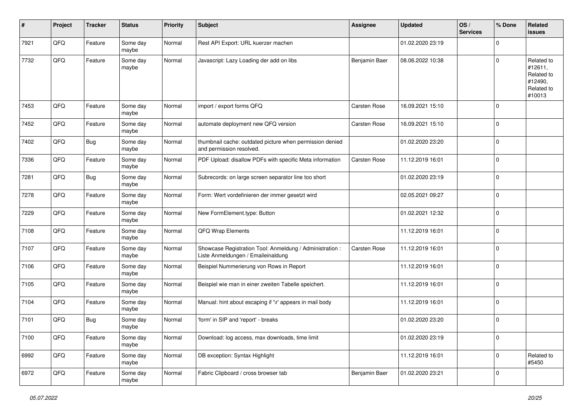| ∦    | Project | <b>Tracker</b> | <b>Status</b>     | <b>Priority</b> | <b>Subject</b>                                                                                 | <b>Assignee</b> | <b>Updated</b>   | OS/<br><b>Services</b> | % Done      | <b>Related</b><br><b>issues</b>                                        |
|------|---------|----------------|-------------------|-----------------|------------------------------------------------------------------------------------------------|-----------------|------------------|------------------------|-------------|------------------------------------------------------------------------|
| 7921 | QFQ     | Feature        | Some day<br>maybe | Normal          | Rest API Export: URL kuerzer machen                                                            |                 | 01.02.2020 23:19 |                        | $\mathbf 0$ |                                                                        |
| 7732 | QFQ     | Feature        | Some day<br>maybe | Normal          | Javascript: Lazy Loading der add on libs                                                       | Benjamin Baer   | 08.06.2022 10:38 |                        | $\mathbf 0$ | Related to<br>#12611,<br>Related to<br>#12490,<br>Related to<br>#10013 |
| 7453 | QFQ     | Feature        | Some day<br>maybe | Normal          | import / export forms QFQ                                                                      | Carsten Rose    | 16.09.2021 15:10 |                        | $\mathbf 0$ |                                                                        |
| 7452 | QFQ     | Feature        | Some day<br>maybe | Normal          | automate deployment new QFQ version                                                            | Carsten Rose    | 16.09.2021 15:10 |                        | $\Omega$    |                                                                        |
| 7402 | QFQ     | <b>Bug</b>     | Some day<br>maybe | Normal          | thumbnail cache: outdated picture when permission denied<br>and permission resolved.           |                 | 01.02.2020 23:20 |                        | $\mathbf 0$ |                                                                        |
| 7336 | QFQ     | Feature        | Some day<br>maybe | Normal          | PDF Upload: disallow PDFs with specific Meta information                                       | Carsten Rose    | 11.12.2019 16:01 |                        | $\mathbf 0$ |                                                                        |
| 7281 | QFQ     | <b>Bug</b>     | Some day<br>maybe | Normal          | Subrecords: on large screen separator line too short                                           |                 | 01.02.2020 23:19 |                        | $\mathbf 0$ |                                                                        |
| 7278 | QFQ     | Feature        | Some day<br>maybe | Normal          | Form: Wert vordefinieren der immer gesetzt wird                                                |                 | 02.05.2021 09:27 |                        | 0           |                                                                        |
| 7229 | QFQ     | Feature        | Some day<br>maybe | Normal          | New FormElement.type: Button                                                                   |                 | 01.02.2021 12:32 |                        | $\mathbf 0$ |                                                                        |
| 7108 | QFQ     | Feature        | Some day<br>maybe | Normal          | QFQ Wrap Elements                                                                              |                 | 11.12.2019 16:01 |                        | $\mathbf 0$ |                                                                        |
| 7107 | QFQ     | Feature        | Some day<br>maybe | Normal          | Showcase Registration Tool: Anmeldung / Administration :<br>Liste Anmeldungen / Emaileinaldung | Carsten Rose    | 11.12.2019 16:01 |                        | $\mathbf 0$ |                                                                        |
| 7106 | QFQ     | Feature        | Some day<br>maybe | Normal          | Beispiel Nummerierung von Rows in Report                                                       |                 | 11.12.2019 16:01 |                        | $\mathbf 0$ |                                                                        |
| 7105 | QFQ     | Feature        | Some day<br>maybe | Normal          | Beispiel wie man in einer zweiten Tabelle speichert.                                           |                 | 11.12.2019 16:01 |                        | $\mathbf 0$ |                                                                        |
| 7104 | QFQ     | Feature        | Some day<br>maybe | Normal          | Manual: hint about escaping if '\r' appears in mail body                                       |                 | 11.12.2019 16:01 |                        | $\mathbf 0$ |                                                                        |
| 7101 | QFQ     | <b>Bug</b>     | Some day<br>maybe | Normal          | 'form' in SIP and 'report' - breaks                                                            |                 | 01.02.2020 23:20 |                        | $\mathbf 0$ |                                                                        |
| 7100 | QFG     | Feature        | Some day<br>maybe | Normal          | Download: log access, max downloads, time limit                                                |                 | 01.02.2020 23:19 |                        | 0           |                                                                        |
| 6992 | QFQ     | Feature        | Some day<br>maybe | Normal          | DB exception: Syntax Highlight                                                                 |                 | 11.12.2019 16:01 |                        | $\mathbf 0$ | Related to<br>#5450                                                    |
| 6972 | QFG     | Feature        | Some day<br>maybe | Normal          | Fabric Clipboard / cross browser tab                                                           | Benjamin Baer   | 01.02.2020 23:21 |                        | $\mathbf 0$ |                                                                        |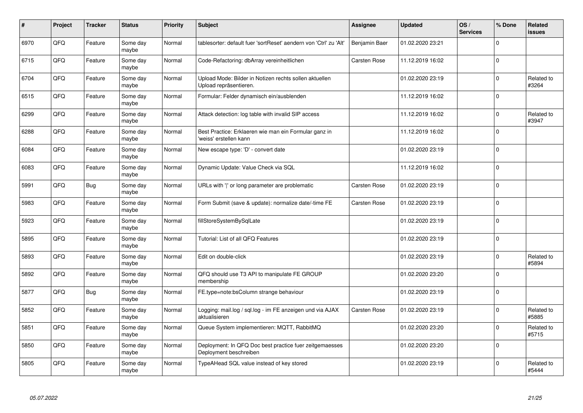| #    | Project | <b>Tracker</b> | <b>Status</b>     | <b>Priority</b> | <b>Subject</b>                                                                    | Assignee      | <b>Updated</b>   | OS/<br><b>Services</b> | % Done      | Related<br><b>issues</b> |
|------|---------|----------------|-------------------|-----------------|-----------------------------------------------------------------------------------|---------------|------------------|------------------------|-------------|--------------------------|
| 6970 | QFQ     | Feature        | Some day<br>maybe | Normal          | tablesorter: default fuer 'sortReset' aendern von 'Ctrl' zu 'Alt'                 | Benjamin Baer | 01.02.2020 23:21 |                        | $\Omega$    |                          |
| 6715 | QFQ     | Feature        | Some day<br>maybe | Normal          | Code-Refactoring: dbArray vereinheitlichen                                        | Carsten Rose  | 11.12.2019 16:02 |                        | $\mathbf 0$ |                          |
| 6704 | QFQ     | Feature        | Some day<br>maybe | Normal          | Upload Mode: Bilder in Notizen rechts sollen aktuellen<br>Upload repräsentieren.  |               | 01.02.2020 23:19 |                        | $\mathbf 0$ | Related to<br>#3264      |
| 6515 | QFQ     | Feature        | Some day<br>maybe | Normal          | Formular: Felder dynamisch ein/ausblenden                                         |               | 11.12.2019 16:02 |                        | $\mathbf 0$ |                          |
| 6299 | QFQ     | Feature        | Some day<br>maybe | Normal          | Attack detection: log table with invalid SIP access                               |               | 11.12.2019 16:02 |                        | $\Omega$    | Related to<br>#3947      |
| 6288 | QFQ     | Feature        | Some day<br>maybe | Normal          | Best Practice: Erklaeren wie man ein Formular ganz in<br>'weiss' erstellen kann   |               | 11.12.2019 16:02 |                        | $\mathbf 0$ |                          |
| 6084 | QFQ     | Feature        | Some day<br>maybe | Normal          | New escape type: 'D' - convert date                                               |               | 01.02.2020 23:19 |                        | $\mathbf 0$ |                          |
| 6083 | QFQ     | Feature        | Some day<br>maybe | Normal          | Dynamic Update: Value Check via SQL                                               |               | 11.12.2019 16:02 |                        | $\mathbf 0$ |                          |
| 5991 | QFQ     | <b>Bug</b>     | Some day<br>maybe | Normal          | URLs with ' ' or long parameter are problematic                                   | Carsten Rose  | 01.02.2020 23:19 |                        | $\pmb{0}$   |                          |
| 5983 | QFQ     | Feature        | Some day<br>maybe | Normal          | Form Submit (save & update): normalize date/-time FE                              | Carsten Rose  | 01.02.2020 23:19 |                        | $\mathbf 0$ |                          |
| 5923 | QFQ     | Feature        | Some day<br>maybe | Normal          | fillStoreSystemBySqlLate                                                          |               | 01.02.2020 23:19 |                        | $\mathbf 0$ |                          |
| 5895 | QFQ     | Feature        | Some day<br>maybe | Normal          | Tutorial: List of all QFQ Features                                                |               | 01.02.2020 23:19 |                        | $\mathbf 0$ |                          |
| 5893 | QFQ     | Feature        | Some day<br>maybe | Normal          | Edit on double-click                                                              |               | 01.02.2020 23:19 |                        | $\mathbf 0$ | Related to<br>#5894      |
| 5892 | QFQ     | Feature        | Some day<br>maybe | Normal          | QFQ should use T3 API to manipulate FE GROUP<br>membership                        |               | 01.02.2020 23:20 |                        | $\mathbf 0$ |                          |
| 5877 | QFQ     | Bug            | Some day<br>maybe | Normal          | FE.type=note:bsColumn strange behaviour                                           |               | 01.02.2020 23:19 |                        | $\mathbf 0$ |                          |
| 5852 | QFQ     | Feature        | Some day<br>maybe | Normal          | Logging: mail.log / sql.log - im FE anzeigen und via AJAX<br>aktualisieren        | Carsten Rose  | 01.02.2020 23:19 |                        | $\mathbf 0$ | Related to<br>#5885      |
| 5851 | QFQ     | Feature        | Some day<br>maybe | Normal          | Queue System implementieren: MQTT, RabbitMQ                                       |               | 01.02.2020 23:20 |                        | $\pmb{0}$   | Related to<br>#5715      |
| 5850 | QFQ     | Feature        | Some day<br>maybe | Normal          | Deployment: In QFQ Doc best practice fuer zeitgemaesses<br>Deployment beschreiben |               | 01.02.2020 23:20 |                        | $\mathbf 0$ |                          |
| 5805 | QFQ     | Feature        | Some day<br>maybe | Normal          | TypeAHead SQL value instead of key stored                                         |               | 01.02.2020 23:19 |                        | $\mathbf 0$ | Related to<br>#5444      |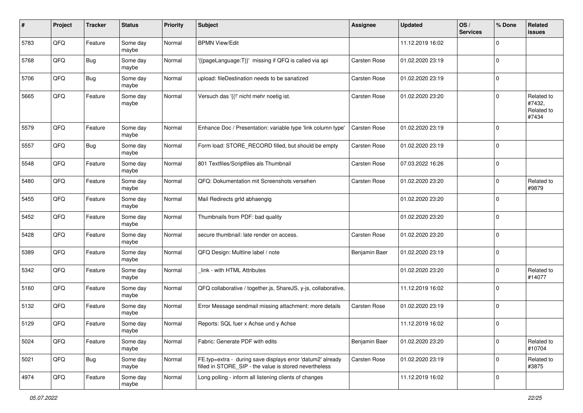| #    | Project | <b>Tracker</b> | <b>Status</b>     | <b>Priority</b> | <b>Subject</b>                                                                                                       | <b>Assignee</b> | <b>Updated</b>   | OS/<br><b>Services</b> | % Done      | Related<br><b>issues</b>                    |
|------|---------|----------------|-------------------|-----------------|----------------------------------------------------------------------------------------------------------------------|-----------------|------------------|------------------------|-------------|---------------------------------------------|
| 5783 | QFQ     | Feature        | Some day<br>maybe | Normal          | <b>BPMN View/Edit</b>                                                                                                |                 | 11.12.2019 16:02 |                        | $\Omega$    |                                             |
| 5768 | QFQ     | <b>Bug</b>     | Some day<br>maybe | Normal          | '{{pageLanguage:T}}' missing if QFQ is called via api                                                                | Carsten Rose    | 01.02.2020 23:19 |                        | $\mathbf 0$ |                                             |
| 5706 | QFQ     | Bug            | Some day<br>maybe | Normal          | upload: fileDestination needs to be sanatized                                                                        | Carsten Rose    | 01.02.2020 23:19 |                        | $\Omega$    |                                             |
| 5665 | QFQ     | Feature        | Some day<br>maybe | Normal          | Versuch das '{{!' nicht mehr noetig ist.                                                                             | Carsten Rose    | 01.02.2020 23:20 |                        | $\Omega$    | Related to<br>#7432,<br>Related to<br>#7434 |
| 5579 | QFQ     | Feature        | Some day<br>maybe | Normal          | Enhance Doc / Presentation: variable type 'link column type'                                                         | Carsten Rose    | 01.02.2020 23:19 |                        | $\Omega$    |                                             |
| 5557 | QFQ     | Bug            | Some day<br>maybe | Normal          | Form load: STORE RECORD filled, but should be empty                                                                  | Carsten Rose    | 01.02.2020 23:19 |                        | $\Omega$    |                                             |
| 5548 | QFQ     | Feature        | Some day<br>maybe | Normal          | 801 Textfiles/Scriptfiles als Thumbnail                                                                              | Carsten Rose    | 07.03.2022 16:26 |                        | $\Omega$    |                                             |
| 5480 | QFQ     | Feature        | Some day<br>maybe | Normal          | QFQ: Dokumentation mit Screenshots versehen                                                                          | Carsten Rose    | 01.02.2020 23:20 |                        | $\Omega$    | Related to<br>#9879                         |
| 5455 | QFQ     | Feature        | Some day<br>maybe | Normal          | Mail Redirects grld abhaengig                                                                                        |                 | 01.02.2020 23:20 |                        | $\Omega$    |                                             |
| 5452 | QFQ     | Feature        | Some day<br>maybe | Normal          | Thumbnails from PDF: bad quality                                                                                     |                 | 01.02.2020 23:20 |                        | $\Omega$    |                                             |
| 5428 | QFQ     | Feature        | Some day<br>maybe | Normal          | secure thumbnail: late render on access.                                                                             | Carsten Rose    | 01.02.2020 23:20 |                        | $\mathbf 0$ |                                             |
| 5389 | QFQ     | Feature        | Some day<br>maybe | Normal          | QFQ Design: Multline label / note                                                                                    | Benjamin Baer   | 01.02.2020 23:19 |                        | $\Omega$    |                                             |
| 5342 | QFQ     | Feature        | Some day<br>maybe | Normal          | link - with HTML Attributes                                                                                          |                 | 01.02.2020 23:20 |                        | $\Omega$    | Related to<br>#14077                        |
| 5160 | QFQ     | Feature        | Some day<br>maybe | Normal          | QFQ collaborative / together.js, ShareJS, y-js, collaborative,                                                       |                 | 11.12.2019 16:02 |                        | $\Omega$    |                                             |
| 5132 | QFQ     | Feature        | Some day<br>maybe | Normal          | Error Message sendmail missing attachment: more details                                                              | Carsten Rose    | 01.02.2020 23:19 |                        | $\Omega$    |                                             |
| 5129 | QFQ     | Feature        | Some day<br>maybe | Normal          | Reports: SQL fuer x Achse und y Achse                                                                                |                 | 11.12.2019 16:02 |                        | $\Omega$    |                                             |
| 5024 | QFQ     | Feature        | Some day<br>maybe | Normal          | Fabric: Generate PDF with edits                                                                                      | Benjamin Baer   | 01.02.2020 23:20 |                        | 0           | Related to<br>#10704                        |
| 5021 | QFQ     | Bug            | Some day<br>maybe | Normal          | FE.typ=extra - during save displays error 'datum2' already<br>filled in STORE_SIP - the value is stored nevertheless | Carsten Rose    | 01.02.2020 23:19 |                        | $\mathbf 0$ | Related to<br>#3875                         |
| 4974 | QFG     | Feature        | Some day<br>maybe | Normal          | Long polling - inform all listening clients of changes                                                               |                 | 11.12.2019 16:02 |                        | $\mathbf 0$ |                                             |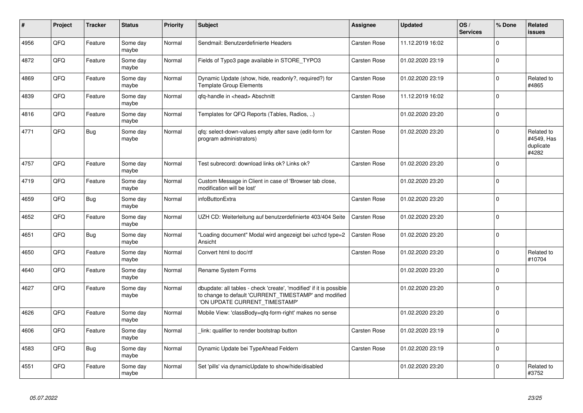| #    | Project | <b>Tracker</b> | <b>Status</b>     | <b>Priority</b> | <b>Subject</b>                                                                                                                                                | Assignee            | <b>Updated</b>   | OS/<br><b>Services</b> | % Done      | <b>Related</b><br><b>issues</b>                |
|------|---------|----------------|-------------------|-----------------|---------------------------------------------------------------------------------------------------------------------------------------------------------------|---------------------|------------------|------------------------|-------------|------------------------------------------------|
| 4956 | QFQ     | Feature        | Some day<br>maybe | Normal          | Sendmail: Benutzerdefinierte Headers                                                                                                                          | Carsten Rose        | 11.12.2019 16:02 |                        | $\Omega$    |                                                |
| 4872 | QFQ     | Feature        | Some day<br>maybe | Normal          | Fields of Typo3 page available in STORE TYPO3                                                                                                                 | Carsten Rose        | 01.02.2020 23:19 |                        | $\mathbf 0$ |                                                |
| 4869 | QFQ     | Feature        | Some day<br>maybe | Normal          | Dynamic Update (show, hide, readonly?, required?) for<br><b>Template Group Elements</b>                                                                       | <b>Carsten Rose</b> | 01.02.2020 23:19 |                        | $\mathbf 0$ | Related to<br>#4865                            |
| 4839 | QFQ     | Feature        | Some day<br>maybe | Normal          | qfq-handle in <head> Abschnitt</head>                                                                                                                         | <b>Carsten Rose</b> | 11.12.2019 16:02 |                        | $\Omega$    |                                                |
| 4816 | QFQ     | Feature        | Some day<br>maybe | Normal          | Templates for QFQ Reports (Tables, Radios, )                                                                                                                  |                     | 01.02.2020 23:20 |                        | $\mathbf 0$ |                                                |
| 4771 | QFQ     | <b>Bug</b>     | Some day<br>maybe | Normal          | gfg: select-down-values empty after save (edit-form for<br>program administrators)                                                                            | <b>Carsten Rose</b> | 01.02.2020 23:20 |                        | $\mathbf 0$ | Related to<br>#4549, Has<br>duplicate<br>#4282 |
| 4757 | QFQ     | Feature        | Some day<br>maybe | Normal          | Test subrecord: download links ok? Links ok?                                                                                                                  | <b>Carsten Rose</b> | 01.02.2020 23:20 |                        | $\mathbf 0$ |                                                |
| 4719 | QFQ     | Feature        | Some day<br>maybe | Normal          | Custom Message in Client in case of 'Browser tab close,<br>modification will be lost'                                                                         |                     | 01.02.2020 23:20 |                        | $\Omega$    |                                                |
| 4659 | QFQ     | <b>Bug</b>     | Some day<br>maybe | Normal          | infoButtonExtra                                                                                                                                               | Carsten Rose        | 01.02.2020 23:20 |                        | $\mathbf 0$ |                                                |
| 4652 | QFQ     | Feature        | Some day<br>maybe | Normal          | UZH CD: Weiterleitung auf benutzerdefinierte 403/404 Seite                                                                                                    | Carsten Rose        | 01.02.2020 23:20 |                        | $\Omega$    |                                                |
| 4651 | QFQ     | <b>Bug</b>     | Some day<br>maybe | Normal          | "Loading document" Modal wird angezeigt bei uzhcd type=2<br>Ansicht                                                                                           | <b>Carsten Rose</b> | 01.02.2020 23:20 |                        | $\mathbf 0$ |                                                |
| 4650 | QFQ     | Feature        | Some day<br>maybe | Normal          | Convert html to doc/rtf                                                                                                                                       | <b>Carsten Rose</b> | 01.02.2020 23:20 |                        | $\mathbf 0$ | Related to<br>#10704                           |
| 4640 | QFQ     | Feature        | Some day<br>maybe | Normal          | Rename System Forms                                                                                                                                           |                     | 01.02.2020 23:20 |                        | $\Omega$    |                                                |
| 4627 | QFQ     | Feature        | Some day<br>maybe | Normal          | dbupdate: all tables - check 'create', 'modified' if it is possible<br>to change to default 'CURRENT TIMESTAMP' and modified<br>'ON UPDATE CURRENT_TIMESTAMP' |                     | 01.02.2020 23:20 |                        | $\mathbf 0$ |                                                |
| 4626 | QFQ     | Feature        | Some day<br>maybe | Normal          | Mobile View: 'classBody=qfq-form-right' makes no sense                                                                                                        |                     | 01.02.2020 23:20 |                        | $\Omega$    |                                                |
| 4606 | QFQ     | Feature        | Some day<br>maybe | Normal          | link: qualifier to render bootstrap button                                                                                                                    | <b>Carsten Rose</b> | 01.02.2020 23:19 |                        | $\Omega$    |                                                |
| 4583 | QFQ     | <b>Bug</b>     | Some day<br>maybe | Normal          | Dynamic Update bei TypeAhead Feldern                                                                                                                          | Carsten Rose        | 01.02.2020 23:19 |                        | $\mathbf 0$ |                                                |
| 4551 | QFQ     | Feature        | Some day<br>maybe | Normal          | Set 'pills' via dynamicUpdate to show/hide/disabled                                                                                                           |                     | 01.02.2020 23:20 |                        | $\Omega$    | Related to<br>#3752                            |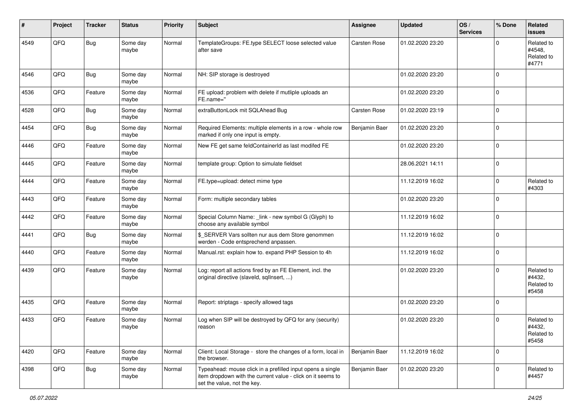| ∦    | Project | <b>Tracker</b> | <b>Status</b>     | <b>Priority</b> | <b>Subject</b>                                                                                                                                           | Assignee      | <b>Updated</b>   | OS/<br><b>Services</b> | % Done      | Related<br><b>issues</b>                    |
|------|---------|----------------|-------------------|-----------------|----------------------------------------------------------------------------------------------------------------------------------------------------------|---------------|------------------|------------------------|-------------|---------------------------------------------|
| 4549 | QFQ     | <b>Bug</b>     | Some day<br>maybe | Normal          | TemplateGroups: FE.type SELECT loose selected value<br>after save                                                                                        | Carsten Rose  | 01.02.2020 23:20 |                        | $\Omega$    | Related to<br>#4548,<br>Related to<br>#4771 |
| 4546 | QFQ     | <b>Bug</b>     | Some day<br>maybe | Normal          | NH: SIP storage is destroyed                                                                                                                             |               | 01.02.2020 23:20 |                        | $\mathbf 0$ |                                             |
| 4536 | QFQ     | Feature        | Some day<br>maybe | Normal          | FE upload: problem with delete if mutliple uploads an<br>FE.name="                                                                                       |               | 01.02.2020 23:20 |                        | $\mathbf 0$ |                                             |
| 4528 | QFQ     | Bug            | Some day<br>maybe | Normal          | extraButtonLock mit SQLAhead Bug                                                                                                                         | Carsten Rose  | 01.02.2020 23:19 |                        | $\mathbf 0$ |                                             |
| 4454 | QFQ     | Bug            | Some day<br>maybe | Normal          | Required Elements: multiple elements in a row - whole row<br>marked if only one input is empty.                                                          | Benjamin Baer | 01.02.2020 23:20 |                        | $\mathbf 0$ |                                             |
| 4446 | QFQ     | Feature        | Some day<br>maybe | Normal          | New FE get same feldContainerId as last modifed FE                                                                                                       |               | 01.02.2020 23:20 |                        | $\mathbf 0$ |                                             |
| 4445 | QFQ     | Feature        | Some day<br>maybe | Normal          | template group: Option to simulate fieldset                                                                                                              |               | 28.06.2021 14:11 |                        | $\mathbf 0$ |                                             |
| 4444 | QFQ     | Feature        | Some day<br>maybe | Normal          | FE.type=upload: detect mime type                                                                                                                         |               | 11.12.2019 16:02 |                        | $\mathbf 0$ | Related to<br>#4303                         |
| 4443 | QFQ     | Feature        | Some day<br>maybe | Normal          | Form: multiple secondary tables                                                                                                                          |               | 01.02.2020 23:20 |                        | $\Omega$    |                                             |
| 4442 | QFQ     | Feature        | Some day<br>maybe | Normal          | Special Column Name: _link - new symbol G (Glyph) to<br>choose any available symbol                                                                      |               | 11.12.2019 16:02 |                        | $\mathbf 0$ |                                             |
| 4441 | QFQ     | Bug            | Some day<br>maybe | Normal          | \$_SERVER Vars sollten nur aus dem Store genommen<br>werden - Code entsprechend anpassen.                                                                |               | 11.12.2019 16:02 |                        | $\mathbf 0$ |                                             |
| 4440 | QFQ     | Feature        | Some day<br>maybe | Normal          | Manual.rst: explain how to. expand PHP Session to 4h                                                                                                     |               | 11.12.2019 16:02 |                        | $\mathbf 0$ |                                             |
| 4439 | QFQ     | Feature        | Some day<br>maybe | Normal          | Log: report all actions fired by an FE Element, incl. the<br>original directive (slaveld, sqllnsert, )                                                   |               | 01.02.2020 23:20 |                        | $\Omega$    | Related to<br>#4432,<br>Related to<br>#5458 |
| 4435 | QFQ     | Feature        | Some day<br>maybe | Normal          | Report: striptags - specify allowed tags                                                                                                                 |               | 01.02.2020 23:20 |                        | $\mathbf 0$ |                                             |
| 4433 | QFQ     | Feature        | Some day<br>maybe | Normal          | Log when SIP will be destroyed by QFQ for any (security)<br>reason                                                                                       |               | 01.02.2020 23:20 |                        | $\mathbf 0$ | Related to<br>#4432,<br>Related to<br>#5458 |
| 4420 | QFQ     | Feature        | Some day<br>maybe | Normal          | Client: Local Storage - store the changes of a form, local in<br>the browser.                                                                            | Benjamin Baer | 11.12.2019 16:02 |                        | $\mathbf 0$ |                                             |
| 4398 | QFQ     | <b>Bug</b>     | Some day<br>maybe | Normal          | Typeahead: mouse click in a prefilled input opens a single<br>item dropdown with the current value - click on it seems to<br>set the value, not the key. | Benjamin Baer | 01.02.2020 23:20 |                        | $\mathbf 0$ | Related to<br>#4457                         |